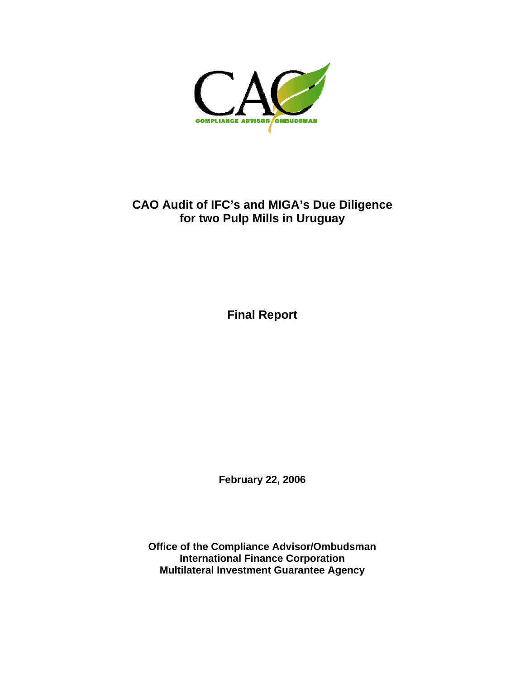

## **CAO Audit of IFC's and MIGA's Due Diligence for two Pulp Mills in Uruguay**

**Final Report** 

**February 22, 2006** 

**Office of the Compliance Advisor/Ombudsman International Finance Corporation Multilateral Investment Guarantee Agency**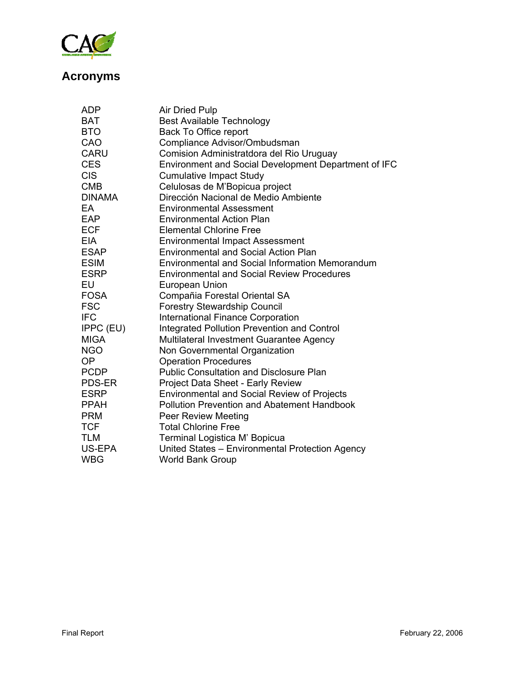

# **Acronyms**

| ADP           | <b>Air Dried Pulp</b>                                  |
|---------------|--------------------------------------------------------|
| <b>BAT</b>    | <b>Best Available Technology</b>                       |
| <b>BTO</b>    | Back To Office report                                  |
| CAO           | Compliance Advisor/Ombudsman                           |
| <b>CARU</b>   | Comision Administratdora del Rio Uruguay               |
| <b>CES</b>    | Environment and Social Development Department of IFC   |
| <b>CIS</b>    | <b>Cumulative Impact Study</b>                         |
| <b>CMB</b>    | Celulosas de M'Bopicua project                         |
| <b>DINAMA</b> | Dirección Nacional de Medio Ambiente                   |
| EA            | <b>Environmental Assessment</b>                        |
| EAP           | <b>Environmental Action Plan</b>                       |
| <b>ECF</b>    | <b>Elemental Chlorine Free</b>                         |
| <b>EIA</b>    | <b>Environmental Impact Assessment</b>                 |
| <b>ESAP</b>   | <b>Environmental and Social Action Plan</b>            |
| <b>ESIM</b>   | <b>Environmental and Social Information Memorandum</b> |
| <b>ESRP</b>   | <b>Environmental and Social Review Procedures</b>      |
| EU            | <b>European Union</b>                                  |
| <b>FOSA</b>   | Compañia Forestal Oriental SA                          |
| <b>FSC</b>    | <b>Forestry Stewardship Council</b>                    |
| <b>IFC</b>    | <b>International Finance Corporation</b>               |
| IPPC (EU)     | <b>Integrated Pollution Prevention and Control</b>     |
| <b>MIGA</b>   | Multilateral Investment Guarantee Agency               |
| <b>NGO</b>    | Non Governmental Organization                          |
| <b>OP</b>     | <b>Operation Procedures</b>                            |
| <b>PCDP</b>   | <b>Public Consultation and Disclosure Plan</b>         |
| PDS-ER        | Project Data Sheet - Early Review                      |
| <b>ESRP</b>   | <b>Environmental and Social Review of Projects</b>     |
| <b>PPAH</b>   | <b>Pollution Prevention and Abatement Handbook</b>     |
| <b>PRM</b>    | <b>Peer Review Meeting</b>                             |
| <b>TCF</b>    | <b>Total Chlorine Free</b>                             |
| <b>TLM</b>    | Terminal Logistica M' Bopicua                          |
| US-EPA        | United States - Environmental Protection Agency        |
| WBG           | <b>World Bank Group</b>                                |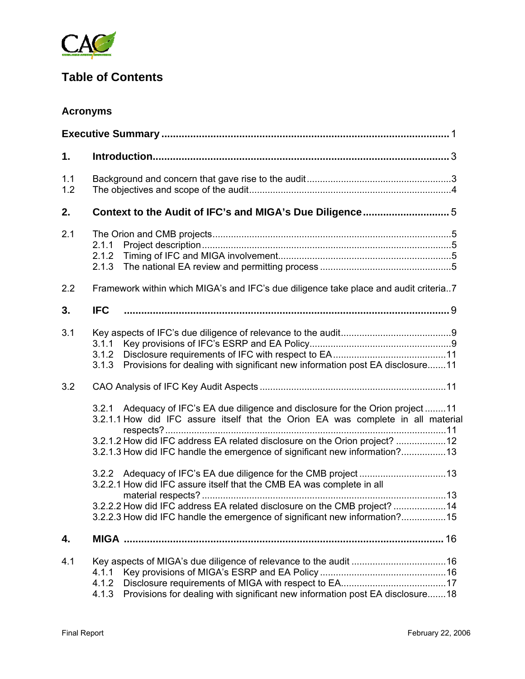

## **Table of Contents**

## **Acronyms**

| 1.         |                                                                                                                                                                                                                                                                                                                                  |  |  |
|------------|----------------------------------------------------------------------------------------------------------------------------------------------------------------------------------------------------------------------------------------------------------------------------------------------------------------------------------|--|--|
| 1.1<br>1.2 |                                                                                                                                                                                                                                                                                                                                  |  |  |
| 2.         | Context to the Audit of IFC's and MIGA's Due Diligence5                                                                                                                                                                                                                                                                          |  |  |
| 2.1        | 2.1.1<br>2.1.2<br>2.1.3                                                                                                                                                                                                                                                                                                          |  |  |
| 2.2        | Framework within which MIGA's and IFC's due diligence take place and audit criteria7                                                                                                                                                                                                                                             |  |  |
| 3.         | <b>IFC</b>                                                                                                                                                                                                                                                                                                                       |  |  |
| 3.1        | 3.1.1<br>3.1.2<br>Provisions for dealing with significant new information post EA disclosure11<br>3.1.3                                                                                                                                                                                                                          |  |  |
| 3.2        |                                                                                                                                                                                                                                                                                                                                  |  |  |
|            | 3.2.1 Adequacy of IFC's EA due diligence and disclosure for the Orion project 11<br>3.2.1.1 How did IFC assure itself that the Orion EA was complete in all material<br>3.2.1.2 How did IFC address EA related disclosure on the Orion project? 12<br>3.2.1.3 How did IFC handle the emergence of significant new information?13 |  |  |
|            | 3.2.2.1 How did IFC assure itself that the CMB EA was complete in all                                                                                                                                                                                                                                                            |  |  |
|            | 3.2.2.2 How did IFC address EA related disclosure on the CMB project?  14<br>3.2.2.3 How did IFC handle the emergence of significant new information?15                                                                                                                                                                          |  |  |
| 4.         |                                                                                                                                                                                                                                                                                                                                  |  |  |
| 4.1        | 4.1.1<br>4.1.2<br>Provisions for dealing with significant new information post EA disclosure18<br>4.1.3                                                                                                                                                                                                                          |  |  |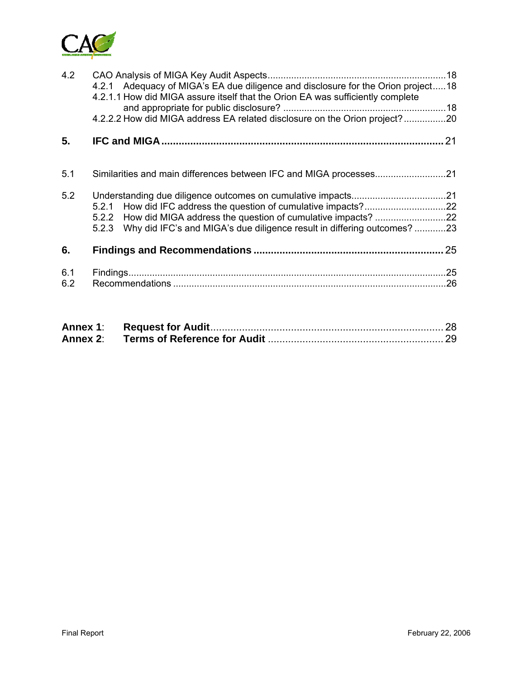

| 4.2        | 4.2.1 Adequacy of MIGA's EA due diligence and disclosure for the Orion project18<br>4.2.1.1 How did MIGA assure itself that the Orion EA was sufficiently complete<br>4.2.2.2 How did MIGA address EA related disclosure on the Orion project? 20 |    |
|------------|---------------------------------------------------------------------------------------------------------------------------------------------------------------------------------------------------------------------------------------------------|----|
| 5.         |                                                                                                                                                                                                                                                   | 21 |
| 5.1        |                                                                                                                                                                                                                                                   |    |
| 5.2        | 5.2.1<br>5.2.3 Why did IFC's and MIGA's due diligence result in differing outcomes?23                                                                                                                                                             |    |
| 6.         |                                                                                                                                                                                                                                                   | 25 |
| 6.1<br>6.2 |                                                                                                                                                                                                                                                   |    |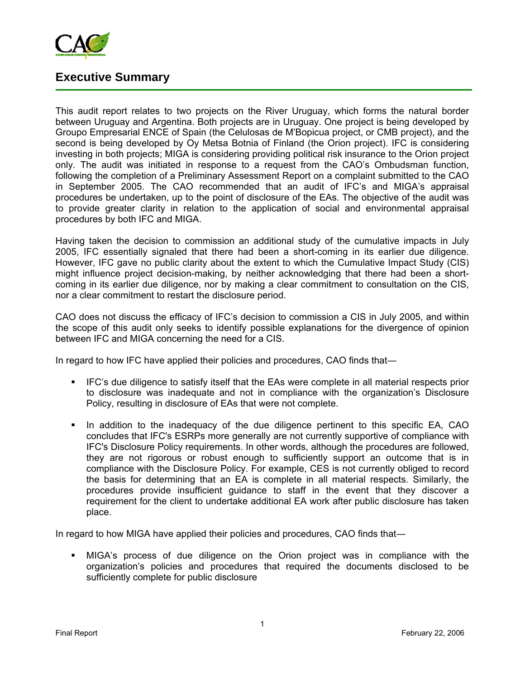

## **Executive Summary**

This audit report relates to two projects on the River Uruguay, which forms the natural border between Uruguay and Argentina. Both projects are in Uruguay. One project is being developed by Groupo Empresarial ENCE of Spain (the Celulosas de M'Bopicua project, or CMB project), and the second is being developed by Oy Metsa Botnia of Finland (the Orion project). IFC is considering investing in both projects; MIGA is considering providing political risk insurance to the Orion project only. The audit was initiated in response to a request from the CAO's Ombudsman function, following the completion of a Preliminary Assessment Report on a complaint submitted to the CAO in September 2005. The CAO recommended that an audit of IFC's and MIGA's appraisal procedures be undertaken, up to the point of disclosure of the EAs. The objective of the audit was to provide greater clarity in relation to the application of social and environmental appraisal procedures by both IFC and MIGA.

Having taken the decision to commission an additional study of the cumulative impacts in July 2005, IFC essentially signaled that there had been a short-coming in its earlier due diligence. However, IFC gave no public clarity about the extent to which the Cumulative Impact Study (CIS) might influence project decision-making, by neither acknowledging that there had been a shortcoming in its earlier due diligence, nor by making a clear commitment to consultation on the CIS, nor a clear commitment to restart the disclosure period.

CAO does not discuss the efficacy of IFC's decision to commission a CIS in July 2005, and within the scope of this audit only seeks to identify possible explanations for the divergence of opinion between IFC and MIGA concerning the need for a CIS.

In regard to how IFC have applied their policies and procedures, CAO finds that―

- IFC's due diligence to satisfy itself that the EAs were complete in all material respects prior to disclosure was inadequate and not in compliance with the organization's Disclosure Policy, resulting in disclosure of EAs that were not complete.
- In addition to the inadequacy of the due diligence pertinent to this specific EA, CAO concludes that IFC's ESRPs more generally are not currently supportive of compliance with IFC's Disclosure Policy requirements. In other words, although the procedures are followed, they are not rigorous or robust enough to sufficiently support an outcome that is in compliance with the Disclosure Policy. For example, CES is not currently obliged to record the basis for determining that an EA is complete in all material respects. Similarly, the procedures provide insufficient guidance to staff in the event that they discover a requirement for the client to undertake additional EA work after public disclosure has taken place.

In regard to how MIGA have applied their policies and procedures, CAO finds that―

 MIGA's process of due diligence on the Orion project was in compliance with the organization's policies and procedures that required the documents disclosed to be sufficiently complete for public disclosure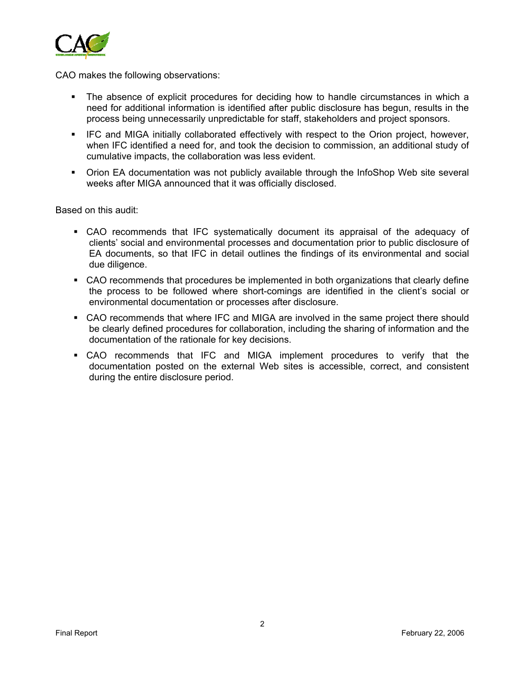

CAO makes the following observations:

- The absence of explicit procedures for deciding how to handle circumstances in which a need for additional information is identified after public disclosure has begun, results in the process being unnecessarily unpredictable for staff, stakeholders and project sponsors.
- IFC and MIGA initially collaborated effectively with respect to the Orion project, however, when IFC identified a need for, and took the decision to commission, an additional study of cumulative impacts, the collaboration was less evident.
- Orion EA documentation was not publicly available through the InfoShop Web site several weeks after MIGA announced that it was officially disclosed.

Based on this audit:

- CAO recommends that IFC systematically document its appraisal of the adequacy of clients' social and environmental processes and documentation prior to public disclosure of EA documents, so that IFC in detail outlines the findings of its environmental and social due diligence.
- CAO recommends that procedures be implemented in both organizations that clearly define the process to be followed where short-comings are identified in the client's social or environmental documentation or processes after disclosure.
- CAO recommends that where IFC and MIGA are involved in the same project there should be clearly defined procedures for collaboration, including the sharing of information and the documentation of the rationale for key decisions.
- CAO recommends that IFC and MIGA implement procedures to verify that the documentation posted on the external Web sites is accessible, correct, and consistent during the entire disclosure period.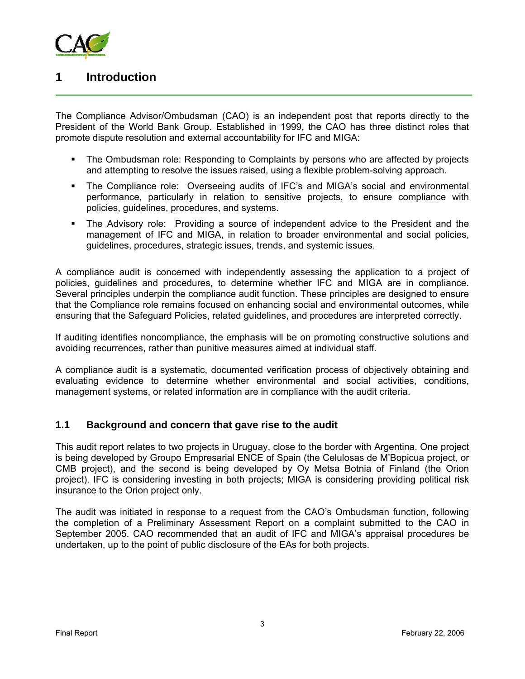

## **1 Introduction**

The Compliance Advisor/Ombudsman (CAO) is an independent post that reports directly to the President of the World Bank Group. Established in 1999, the CAO has three distinct roles that promote dispute resolution and external accountability for IFC and MIGA:

- The Ombudsman role: Responding to Complaints by persons who are affected by projects and attempting to resolve the issues raised, using a flexible problem-solving approach.
- The Compliance role: Overseeing audits of IFC's and MIGA's social and environmental performance, particularly in relation to sensitive projects, to ensure compliance with policies, guidelines, procedures, and systems.
- The Advisory role: Providing a source of independent advice to the President and the management of IFC and MIGA, in relation to broader environmental and social policies, guidelines, procedures, strategic issues, trends, and systemic issues.

A compliance audit is concerned with independently assessing the application to a project of policies, guidelines and procedures, to determine whether IFC and MIGA are in compliance. Several principles underpin the compliance audit function. These principles are designed to ensure that the Compliance role remains focused on enhancing social and environmental outcomes, while ensuring that the Safeguard Policies, related guidelines, and procedures are interpreted correctly.

If auditing identifies noncompliance, the emphasis will be on promoting constructive solutions and avoiding recurrences, rather than punitive measures aimed at individual staff.

A compliance audit is a systematic, documented verification process of objectively obtaining and evaluating evidence to determine whether environmental and social activities, conditions, management systems, or related information are in compliance with the audit criteria.

## **1.1 Background and concern that gave rise to the audit**

This audit report relates to two projects in Uruguay, close to the border with Argentina. One project is being developed by Groupo Empresarial ENCE of Spain (the Celulosas de M'Bopicua project, or CMB project), and the second is being developed by Oy Metsa Botnia of Finland (the Orion project). IFC is considering investing in both projects; MIGA is considering providing political risk insurance to the Orion project only.

The audit was initiated in response to a request from the CAO's Ombudsman function, following the completion of a Preliminary Assessment Report on a complaint submitted to the CAO in September 2005. CAO recommended that an audit of IFC and MIGA's appraisal procedures be undertaken, up to the point of public disclosure of the EAs for both projects.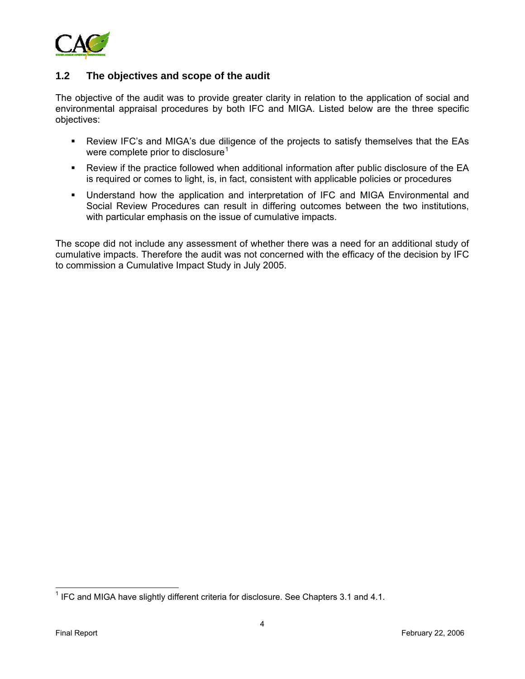

## **1.2 The objectives and scope of the audit**

The objective of the audit was to provide greater clarity in relation to the application of social and environmental appraisal procedures by both IFC and MIGA. Listed below are the three specific objectives:

- Review IFC's and MIGA's due diligence of the projects to satisfy themselves that the EAs were complete prior to disclosure<sup>[1](#page-7-0)</sup>
- Review if the practice followed when additional information after public disclosure of the EA is required or comes to light, is, in fact, consistent with applicable policies or procedures
- Understand how the application and interpretation of IFC and MIGA Environmental and Social Review Procedures can result in differing outcomes between the two institutions, with particular emphasis on the issue of cumulative impacts.

The scope did not include any assessment of whether there was a need for an additional study of cumulative impacts. Therefore the audit was not concerned with the efficacy of the decision by IFC to commission a Cumulative Impact Study in July 2005.

 $\overline{a}$ 

<span id="page-7-0"></span> $1$  IFC and MIGA have slightly different criteria for disclosure. See Chapters 3.1 and 4.1.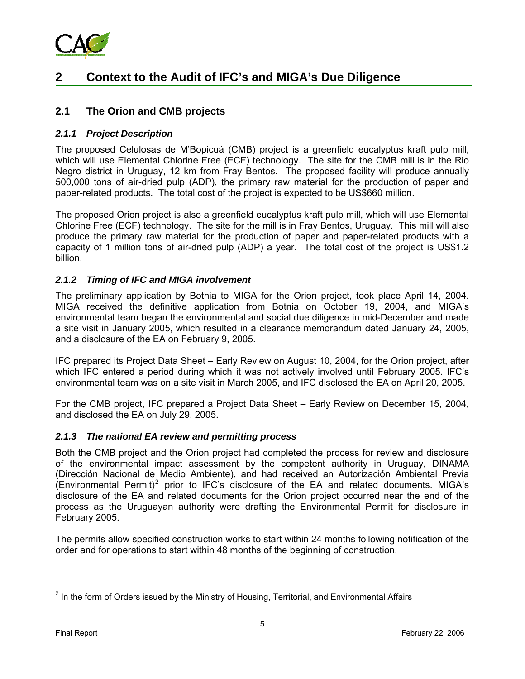

## **2 Context to the Audit of IFC's and MIGA's Due Diligence**

### **2.1 The Orion and CMB projects**

#### *2.1.1 Project Description*

The proposed Celulosas de M'Bopicuá (CMB) project is a greenfield eucalyptus kraft pulp mill, which will use Elemental Chlorine Free (ECF) technology. The site for the CMB mill is in the Rio Negro district in Uruguay, 12 km from Fray Bentos. The proposed facility will produce annually 500,000 tons of air-dried pulp (ADP), the primary raw material for the production of paper and paper-related products. The total cost of the project is expected to be US\$660 million.

The proposed Orion project is also a greenfield eucalyptus kraft pulp mill, which will use Elemental Chlorine Free (ECF) technology. The site for the mill is in Fray Bentos, Uruguay. This mill will also produce the primary raw material for the production of paper and paper-related products with a capacity of 1 million tons of air-dried pulp (ADP) a year. The total cost of the project is US\$1.2 billion.

#### *2.1.2 Timing of IFC and MIGA involvement*

The preliminary application by Botnia to MIGA for the Orion project, took place April 14, 2004. MIGA received the definitive application from Botnia on October 19, 2004, and MIGA's environmental team began the environmental and social due diligence in mid-December and made a site visit in January 2005, which resulted in a clearance memorandum dated January 24, 2005, and a disclosure of the EA on February 9, 2005.

IFC prepared its Project Data Sheet – Early Review on August 10, 2004, for the Orion project, after which IFC entered a period during which it was not actively involved until February 2005. IFC's environmental team was on a site visit in March 2005, and IFC disclosed the EA on April 20, 2005.

For the CMB project, IFC prepared a Project Data Sheet – Early Review on December 15, 2004, and disclosed the EA on July 29, 2005.

#### *2.1.3 The national EA review and permitting process*

Both the CMB project and the Orion project had completed the process for review and disclosure of the environmental impact assessment by the competent authority in Uruguay, DINAMA (Dirección Nacional de Medio Ambiente), and had received an Autorización Ambiental Previa (Environmental Permit)<sup>[2](#page-8-0)</sup> prior to IFC's disclosure of the EA and related documents. MIGA's disclosure of the EA and related documents for the Orion project occurred near the end of the process as the Uruguayan authority were drafting the Environmental Permit for disclosure in February 2005.

The permits allow specified construction works to start within 24 months following notification of the order and for operations to start within 48 months of the beginning of construction.

 $\overline{a}$ 

<span id="page-8-0"></span> $2$  In the form of Orders issued by the Ministry of Housing, Territorial, and Environmental Affairs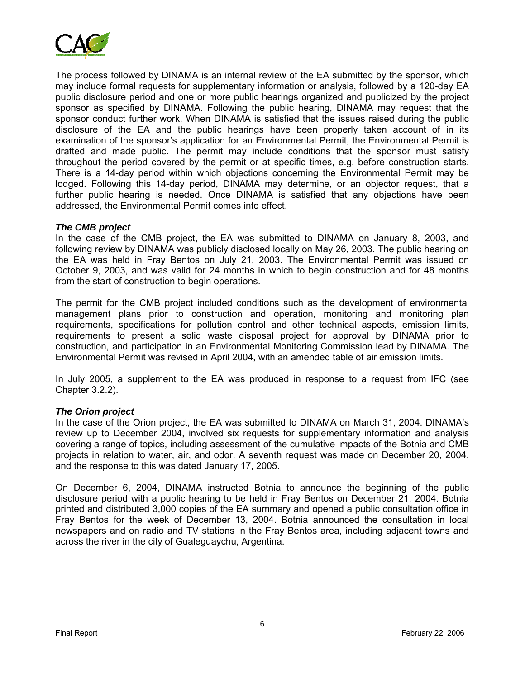

The process followed by DINAMA is an internal review of the EA submitted by the sponsor, which may include formal requests for supplementary information or analysis, followed by a 120-day EA public disclosure period and one or more public hearings organized and publicized by the project sponsor as specified by DINAMA. Following the public hearing, DINAMA may request that the sponsor conduct further work. When DINAMA is satisfied that the issues raised during the public disclosure of the EA and the public hearings have been properly taken account of in its examination of the sponsor's application for an Environmental Permit, the Environmental Permit is drafted and made public. The permit may include conditions that the sponsor must satisfy throughout the period covered by the permit or at specific times, e.g. before construction starts. There is a 14-day period within which objections concerning the Environmental Permit may be lodged. Following this 14-day period, DINAMA may determine, or an objector request, that a further public hearing is needed. Once DINAMA is satisfied that any objections have been addressed, the Environmental Permit comes into effect.

#### *The CMB project*

In the case of the CMB project, the EA was submitted to DINAMA on January 8, 2003, and following review by DINAMA was publicly disclosed locally on May 26, 2003. The public hearing on the EA was held in Fray Bentos on July 21, 2003. The Environmental Permit was issued on October 9, 2003, and was valid for 24 months in which to begin construction and for 48 months from the start of construction to begin operations.

The permit for the CMB project included conditions such as the development of environmental management plans prior to construction and operation, monitoring and monitoring plan requirements, specifications for pollution control and other technical aspects, emission limits, requirements to present a solid waste disposal project for approval by DINAMA prior to construction, and participation in an Environmental Monitoring Commission lead by DINAMA. The Environmental Permit was revised in April 2004, with an amended table of air emission limits.

In July 2005, a supplement to the EA was produced in response to a request from IFC (see Chapter 3.2.2).

#### *The Orion project*

In the case of the Orion project, the EA was submitted to DINAMA on March 31, 2004. DINAMA's review up to December 2004, involved six requests for supplementary information and analysis covering a range of topics, including assessment of the cumulative impacts of the Botnia and CMB projects in relation to water, air, and odor. A seventh request was made on December 20, 2004, and the response to this was dated January 17, 2005.

On December 6, 2004, DINAMA instructed Botnia to announce the beginning of the public disclosure period with a public hearing to be held in Fray Bentos on December 21, 2004. Botnia printed and distributed 3,000 copies of the EA summary and opened a public consultation office in Fray Bentos for the week of December 13, 2004. Botnia announced the consultation in local newspapers and on radio and TV stations in the Fray Bentos area, including adjacent towns and across the river in the city of Gualeguaychu, Argentina.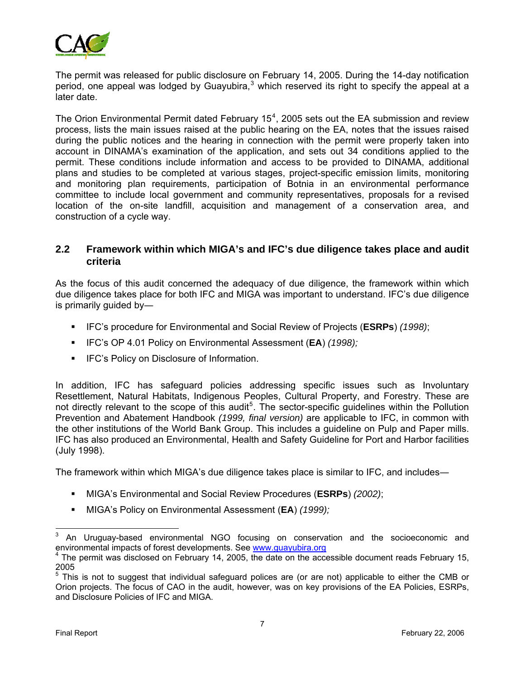

The permit was released for public disclosure on February 14, 2005. During the 14-day notification period, one appeal was lodged by Guayubira, $3$  which reserved its right to specify the appeal at a later date.

The Orion Environmental Permit dated February 15<sup>[4](#page-10-1)</sup>, 2005 sets out the EA submission and review process, lists the main issues raised at the public hearing on the EA, notes that the issues raised during the public notices and the hearing in connection with the permit were properly taken into account in DINAMA's examination of the application, and sets out 34 conditions applied to the permit. These conditions include information and access to be provided to DINAMA, additional plans and studies to be completed at various stages, project-specific emission limits, monitoring and monitoring plan requirements, participation of Botnia in an environmental performance committee to include local government and community representatives, proposals for a revised location of the on-site landfill, acquisition and management of a conservation area, and construction of a cycle way.

### **2.2 Framework within which MIGA's and IFC's due diligence takes place and audit criteria**

As the focus of this audit concerned the adequacy of due diligence, the framework within which due diligence takes place for both IFC and MIGA was important to understand. IFC's due diligence is primarily guided by―

- IFC's procedure for Environmental and Social Review of Projects (**ESRPs**) *(1998)*;
- IFC's OP 4.01 Policy on Environmental Assessment (**EA**) *(1998);*
- **IFC's Policy on Disclosure of Information.**

In addition, IFC has safeguard policies addressing specific issues such as Involuntary Resettlement, Natural Habitats, Indigenous Peoples, Cultural Property, and Forestry. These are not directly relevant to the scope of this audit<sup>[5](#page-10-2)</sup>. The sector-specific guidelines within the Pollution Prevention and Abatement Handbook *(1999, final version)* are applicable to IFC, in common with the other institutions of the World Bank Group. This includes a guideline on Pulp and Paper mills. IFC has also produced an Environmental, Health and Safety Guideline for Port and Harbor facilities (July 1998).

The framework within which MIGA's due diligence takes place is similar to IFC, and includes―

- MIGA's Environmental and Social Review Procedures (**ESRPs**) *(2002)*;
- MIGA's Policy on Environmental Assessment (**EA**) *(1999);*

<span id="page-10-0"></span><sup>-&</sup>lt;br>3 An Uruguay-based environmental NGO focusing on conservation and the socioeconomic and environmental impacts of forest developments. See [www.guayubira.org](http://www.guayubira.org/)

<span id="page-10-1"></span> $4$  The permit was disclosed on February 14, 2005, the date on the accessible document reads February 15, 2005

<span id="page-10-2"></span><sup>&</sup>lt;sup>5</sup> This is not to suggest that individual safeguard polices are (or are not) applicable to either the CMB or Orion projects. The focus of CAO in the audit, however, was on key provisions of the EA Policies, ESRPs, and Disclosure Policies of IFC and MIGA.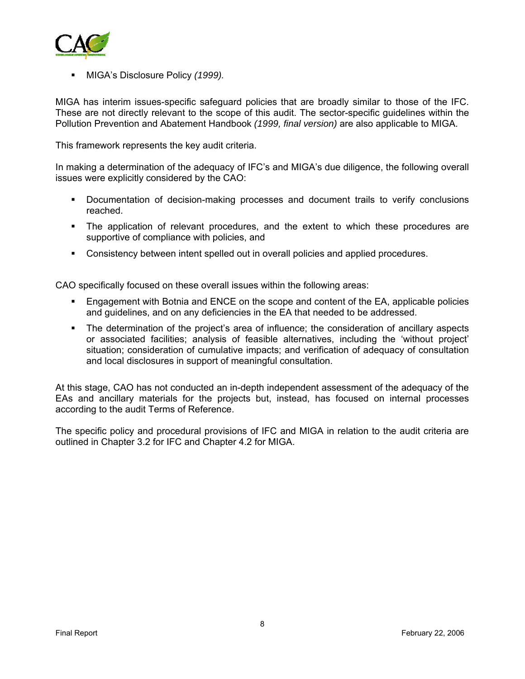

MIGA's Disclosure Policy *(1999).*

MIGA has interim issues-specific safeguard policies that are broadly similar to those of the IFC. These are not directly relevant to the scope of this audit. The sector-specific guidelines within the Pollution Prevention and Abatement Handbook *(1999, final version)* are also applicable to MIGA.

This framework represents the key audit criteria.

In making a determination of the adequacy of IFC's and MIGA's due diligence, the following overall issues were explicitly considered by the CAO:

- Documentation of decision-making processes and document trails to verify conclusions reached.
- The application of relevant procedures, and the extent to which these procedures are supportive of compliance with policies, and
- Consistency between intent spelled out in overall policies and applied procedures.

CAO specifically focused on these overall issues within the following areas:

- Engagement with Botnia and ENCE on the scope and content of the EA, applicable policies and guidelines, and on any deficiencies in the EA that needed to be addressed.
- The determination of the project's area of influence; the consideration of ancillary aspects or associated facilities; analysis of feasible alternatives, including the 'without project' situation; consideration of cumulative impacts; and verification of adequacy of consultation and local disclosures in support of meaningful consultation.

At this stage, CAO has not conducted an in-depth independent assessment of the adequacy of the EAs and ancillary materials for the projects but, instead, has focused on internal processes according to the audit Terms of Reference.

The specific policy and procedural provisions of IFC and MIGA in relation to the audit criteria are outlined in Chapter 3.2 for IFC and Chapter 4.2 for MIGA.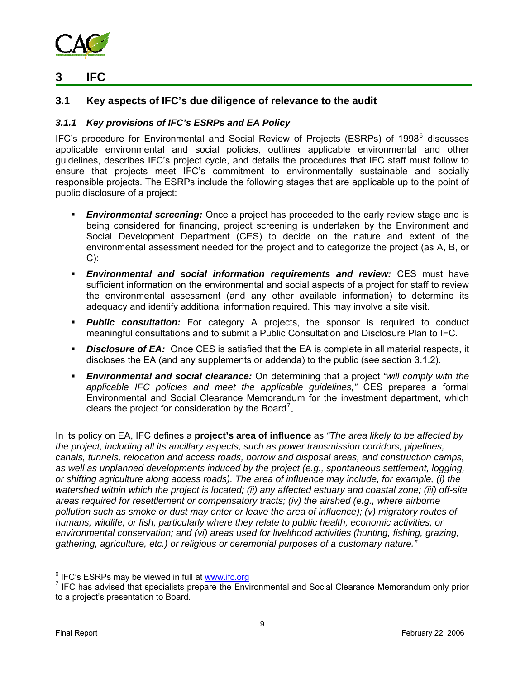

## **3 IFC**

## **3.1 Key aspects of IFC's due diligence of relevance to the audit**

### *3.1.1 Key provisions of IFC's ESRPs and EA Policy*

IFC's procedure for Environmental and Social Review of Projects (ESRPs) of 1998<sup>[6](#page-12-0)</sup> discusses applicable environmental and social policies, outlines applicable environmental and other guidelines, describes IFC's project cycle, and details the procedures that IFC staff must follow to ensure that projects meet IFC's commitment to environmentally sustainable and socially responsible projects. The ESRPs include the following stages that are applicable up to the point of public disclosure of a project:

- *Environmental screening:* Once a project has proceeded to the early review stage and is being considered for financing, project screening is undertaken by the Environment and Social Development Department (CES) to decide on the nature and extent of the environmental assessment needed for the project and to categorize the project (as A, B, or  $C$ :
- *Environmental and social information requirements and review:* CES must have sufficient information on the environmental and social aspects of a project for staff to review the environmental assessment (and any other available information) to determine its adequacy and identify additional information required. This may involve a site visit.
- *Public consultation:* For category A projects, the sponsor is required to conduct meaningful consultations and to submit a Public Consultation and Disclosure Plan to IFC.
- **Disclosure of EA:** Once CES is satisfied that the EA is complete in all material respects, it discloses the EA (and any supplements or addenda) to the public (see section 3.1.2).
- *Environmental and social clearance:* On determining that a project *"will comply with the applicable IFC policies and meet the applicable guidelines,"* CES prepares a formal Environmental and Social Clearance Memorandum for the investment department, which clears the project for consideration by the Board<sup>[7](#page-12-1)</sup>.

In its policy on EA, IFC defines a **project's area of influence** as *"The area likely to be affected by the project, including all its ancillary aspects, such as power transmission corridors, pipelines, canals, tunnels, relocation and access roads, borrow and disposal areas, and construction camps, as well as unplanned developments induced by the project (e.g., spontaneous settlement, logging, or shifting agriculture along access roads). The area of influence may include, for example, (i) the watershed within which the project is located; (ii) any affected estuary and coastal zone; (iii) off-site areas required for resettlement or compensatory tracts; (iv) the airshed (e.g., where airborne pollution such as smoke or dust may enter or leave the area of influence); (v) migratory routes of humans, wildlife, or fish, particularly where they relate to public health, economic activities, or environmental conservation; and (vi) areas used for livelihood activities (hunting, fishing, grazing, gathering, agriculture, etc.) or religious or ceremonial purposes of a customary nature."*

<span id="page-12-0"></span> $^6$  IFC's ESRPs may be viewed in full at  $\frac{\text{www. ifc.org}}{7}$  IFC bee edvised that appealints propers the Epvi

<span id="page-12-1"></span> $<sup>7</sup>$  IFC has advised that specialists prepare the Environmental and Social Clearance Memorandum only prior</sup> to a project's presentation to Board.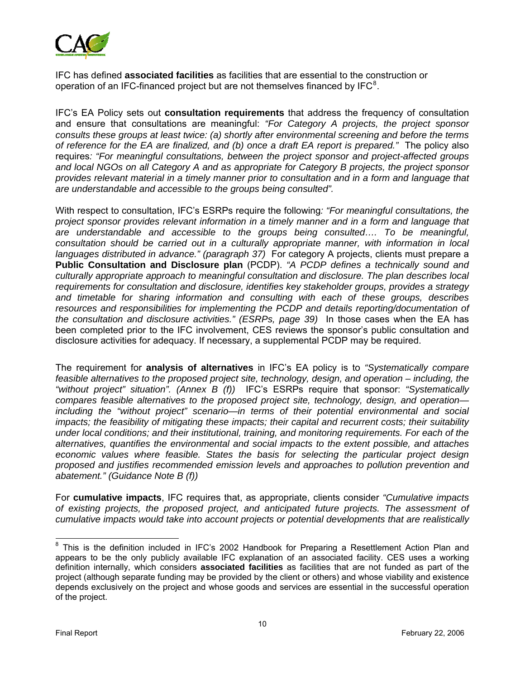

IFC has defined **associated facilities** as facilities that are essential to the construction or operation of an IFC-financed project but are not themselves financed by IFC $<sup>8</sup>$  $<sup>8</sup>$  $<sup>8</sup>$ .</sup>

IFC's EA Policy sets out **consultation requirements** that address the frequency of consultation and ensure that consultations are meaningful: *"For Category A projects, the project sponsor consults these groups at least twice: (a) shortly after environmental screening and before the terms of reference for the EA are finalized, and (b) once a draft EA report is prepared."* The policy also requires*: "For meaningful consultations, between the project sponsor and project-affected groups and local NGOs on all Category A and as appropriate for Category B projects, the project sponsor provides relevant material in a timely manner prior to consultation and in a form and language that are understandable and accessible to the groups being consulted".*

With respect to consultation, IFC's ESRPs require the following*: "For meaningful consultations, the project sponsor provides relevant information in a timely manner and in a form and language that are understandable and accessible to the groups being consulted…. To be meaningful, consultation should be carried out in a culturally appropriate manner, with information in local*  languages distributed in advance." (paragraph 37) For category A projects, clients must prepare a **Public Consultation and Disclosure plan** (PCDP). *"A PCDP defines a technically sound and culturally appropriate approach to meaningful consultation and disclosure. The plan describes local requirements for consultation and disclosure, identifies key stakeholder groups, provides a strategy and timetable for sharing information and consulting with each of these groups, describes*  resources and responsibilities for implementing the PCDP and details reporting/documentation of *the consultation and disclosure activities." (ESRPs, page 39)* In those cases when the EA has been completed prior to the IFC involvement, CES reviews the sponsor's public consultation and disclosure activities for adequacy. If necessary, a supplemental PCDP may be required.

The requirement for **analysis of alternatives** in IFC's EA policy is to *"Systematically compare feasible alternatives to the proposed project site, technology, design, and operation – including, the "without project" situation". (Annex B (f))* IFC's ESRPs require that sponsor: *"Systematically compares feasible alternatives to the proposed project site, technology, design, and operation including the "without project" scenario—in terms of their potential environmental and social impacts; the feasibility of mitigating these impacts; their capital and recurrent costs; their suitability under local conditions; and their institutional, training, and monitoring requirements. For each of the alternatives, quantifies the environmental and social impacts to the extent possible, and attaches economic values where feasible. States the basis for selecting the particular project design proposed and justifies recommended emission levels and approaches to pollution prevention and abatement." (Guidance Note B (f))* 

For **cumulative impacts**, IFC requires that, as appropriate, clients consider *"Cumulative impacts of existing projects, the proposed project, and anticipated future projects. The assessment of cumulative impacts would take into account projects or potential developments that are realistically* 

<span id="page-13-0"></span>**EXECUTE:**<br>8 This is the definition included in IFC's 2002 Handbook for Preparing a Resettlement Action Plan and appears to be the only publicly available IFC explanation of an associated facility. CES uses a working definition internally, which considers **associated facilities** as facilities that are not funded as part of the project (although separate funding may be provided by the client or others) and whose viability and existence depends exclusively on the project and whose goods and services are essential in the successful operation of the project.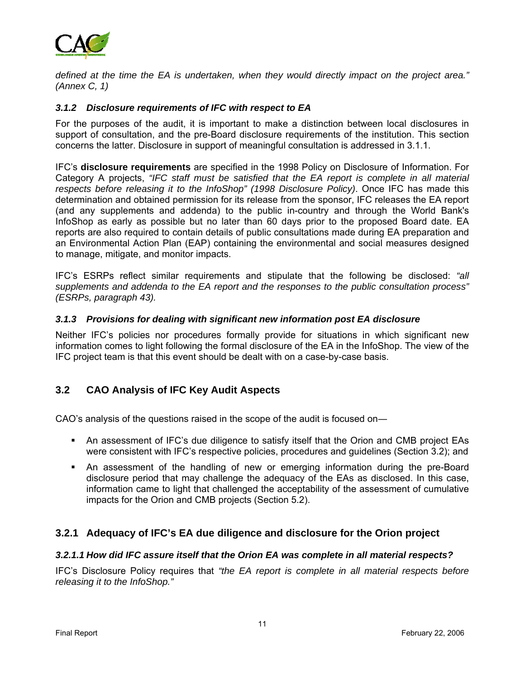

*defined at the time the EA is undertaken, when they would directly impact on the project area." (Annex C, 1)*

#### *3.1.2 Disclosure requirements of IFC with respect to EA*

For the purposes of the audit, it is important to make a distinction between local disclosures in support of consultation, and the pre-Board disclosure requirements of the institution. This section concerns the latter. Disclosure in support of meaningful consultation is addressed in 3.1.1.

IFC's **disclosure requirements** are specified in the 1998 Policy on Disclosure of Information. For Category A projects, *"IFC staff must be satisfied that the EA report is complete in all material respects before releasing it to the InfoShop" (1998 Disclosure Policy)*. Once IFC has made this determination and obtained permission for its release from the sponsor, IFC releases the EA report (and any supplements and addenda) to the public in-country and through the World Bank's InfoShop as early as possible but no later than 60 days prior to the proposed Board date. EA reports are also required to contain details of public consultations made during EA preparation and an Environmental Action Plan (EAP) containing the environmental and social measures designed to manage, mitigate, and monitor impacts.

IFC's ESRPs reflect similar requirements and stipulate that the following be disclosed: *"all supplements and addenda to the EA report and the responses to the public consultation process" (ESRPs, paragraph 43).* 

#### *3.1.3 Provisions for dealing with significant new information post EA disclosure*

Neither IFC's policies nor procedures formally provide for situations in which significant new information comes to light following the formal disclosure of the EA in the InfoShop. The view of the IFC project team is that this event should be dealt with on a case-by-case basis.

## **3.2 CAO Analysis of IFC Key Audit Aspects**

CAO's analysis of the questions raised in the scope of the audit is focused on―

- An assessment of IFC's due diligence to satisfy itself that the Orion and CMB project EAs were consistent with IFC's respective policies, procedures and guidelines (Section 3.2); and
- An assessment of the handling of new or emerging information during the pre-Board disclosure period that may challenge the adequacy of the EAs as disclosed. In this case, information came to light that challenged the acceptability of the assessment of cumulative impacts for the Orion and CMB projects (Section 5.2).

## **3.2.1 Adequacy of IFC's EA due diligence and disclosure for the Orion project**

#### *3.2.1.1 How did IFC assure itself that the Orion EA was complete in all material respects?*

IFC's Disclosure Policy requires that *"the EA report is complete in all material respects before releasing it to the InfoShop."*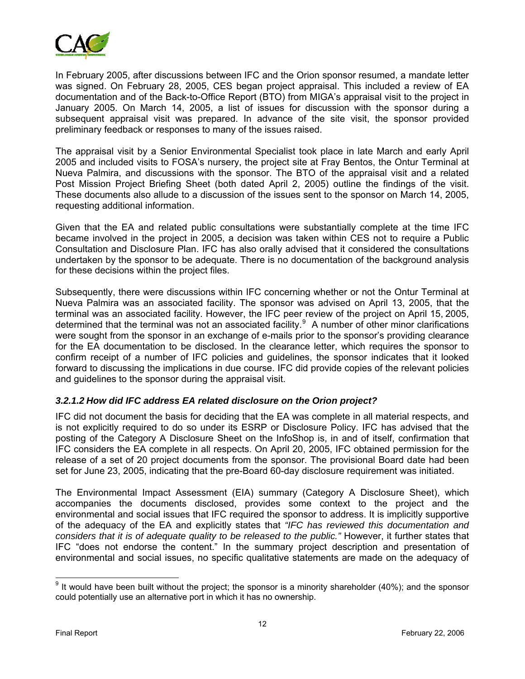

In February 2005, after discussions between IFC and the Orion sponsor resumed, a mandate letter was signed. On February 28, 2005, CES began project appraisal. This included a review of EA documentation and of the Back-to-Office Report (BTO) from MIGA's appraisal visit to the project in January 2005. On March 14, 2005, a list of issues for discussion with the sponsor during a subsequent appraisal visit was prepared. In advance of the site visit, the sponsor provided preliminary feedback or responses to many of the issues raised.

The appraisal visit by a Senior Environmental Specialist took place in late March and early April 2005 and included visits to FOSA's nursery, the project site at Fray Bentos, the Ontur Terminal at Nueva Palmira, and discussions with the sponsor. The BTO of the appraisal visit and a related Post Mission Project Briefing Sheet (both dated April 2, 2005) outline the findings of the visit. These documents also allude to a discussion of the issues sent to the sponsor on March 14, 2005, requesting additional information.

Given that the EA and related public consultations were substantially complete at the time IFC became involved in the project in 2005, a decision was taken within CES not to require a Public Consultation and Disclosure Plan. IFC has also orally advised that it considered the consultations undertaken by the sponsor to be adequate. There is no documentation of the background analysis for these decisions within the project files.

Subsequently, there were discussions within IFC concerning whether or not the Ontur Terminal at Nueva Palmira was an associated facility. The sponsor was advised on April 13, 2005, that the terminal was an associated facility. However, the IFC peer review of the project on April 15, 2005, determined that the terminal was not an associated facility.<sup>[9](#page-15-0)</sup> A number of other minor clarifications were sought from the sponsor in an exchange of e-mails prior to the sponsor's providing clearance for the EA documentation to be disclosed. In the clearance letter, which requires the sponsor to confirm receipt of a number of IFC policies and guidelines, the sponsor indicates that it looked forward to discussing the implications in due course. IFC did provide copies of the relevant policies and guidelines to the sponsor during the appraisal visit.

#### *3.2.1.2 How did IFC address EA related disclosure on the Orion project?*

IFC did not document the basis for deciding that the EA was complete in all material respects, and is not explicitly required to do so under its ESRP or Disclosure Policy. IFC has advised that the posting of the Category A Disclosure Sheet on the InfoShop is, in and of itself, confirmation that IFC considers the EA complete in all respects. On April 20, 2005, IFC obtained permission for the release of a set of 20 project documents from the sponsor. The provisional Board date had been set for June 23, 2005, indicating that the pre-Board 60-day disclosure requirement was initiated.

The Environmental Impact Assessment (EIA) summary (Category A Disclosure Sheet), which accompanies the documents disclosed, provides some context to the project and the environmental and social issues that IFC required the sponsor to address. It is implicitly supportive of the adequacy of the EA and explicitly states that *"IFC has reviewed this documentation and considers that it is of adequate quality to be released to the public."* However, it further states that IFC "does not endorse the content." In the summary project description and presentation of environmental and social issues, no specific qualitative statements are made on the adequacy of

<span id="page-15-0"></span>eddare metal matter with the project; the sponsor is a minority shareholder (40%); and the sponsor is a minority shareholder (40%); and the sponsor could potentially use an alternative port in which it has no ownership.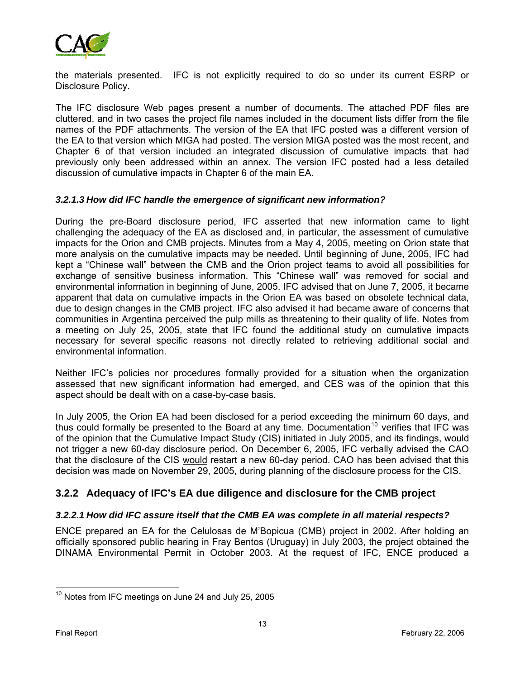

the materials presented. IFC is not explicitly required to do so under its current ESRP or Disclosure Policy.

The IFC disclosure Web pages present a number of documents. The attached PDF files are cluttered, and in two cases the project file names included in the document lists differ from the file names of the PDF attachments. The version of the EA that IFC posted was a different version of the EA to that version which MIGA had posted. The version MIGA posted was the most recent, and Chapter 6 of that version included an integrated discussion of cumulative impacts that had previously only been addressed within an annex. The version IFC posted had a less detailed discussion of cumulative impacts in Chapter 6 of the main EA.

#### *3.2.1.3 How did IFC handle the emergence of significant new information?*

During the pre-Board disclosure period, IFC asserted that new information came to light challenging the adequacy of the EA as disclosed and, in particular, the assessment of cumulative impacts for the Orion and CMB projects. Minutes from a May 4, 2005, meeting on Orion state that more analysis on the cumulative impacts may be needed. Until beginning of June, 2005, IFC had kept a "Chinese wall" between the CMB and the Orion project teams to avoid all possibilities for exchange of sensitive business information. This "Chinese wall" was removed for social and environmental information in beginning of June, 2005. IFC advised that on June 7, 2005, it became apparent that data on cumulative impacts in the Orion EA was based on obsolete technical data, due to design changes in the CMB project. IFC also advised it had became aware of concerns that communities in Argentina perceived the pulp mills as threatening to their quality of life. Notes from a meeting on July 25, 2005, state that IFC found the additional study on cumulative impacts necessary for several specific reasons not directly related to retrieving additional social and environmental information.

Neither IFC's policies nor procedures formally provided for a situation when the organization assessed that new significant information had emerged, and CES was of the opinion that this aspect should be dealt with on a case-by-case basis.

In July 2005, the Orion EA had been disclosed for a period exceeding the minimum 60 days, and thus could formally be presented to the Board at any time. Documentation<sup>[10](#page-16-0)</sup> verifies that IFC was of the opinion that the Cumulative Impact Study (CIS) initiated in July 2005, and its findings, would not trigger a new 60-day disclosure period. On December 6, 2005, IFC verbally advised the CAO that the disclosure of the CIS would restart a new 60-day period. CAO has been advised that this decision was made on November 29, 2005, during planning of the disclosure process for the CIS.

## **3.2.2 Adequacy of IFC's EA due diligence and disclosure for the CMB project**

#### *3.2.2.1 How did IFC assure itself that the CMB EA was complete in all material respects?*

ENCE prepared an EA for the Celulosas de M'Bopicua (CMB) project in 2002. After holding an officially sponsored public hearing in Fray Bentos (Uruguay) in July 2003, the project obtained the DINAMA Environmental Permit in October 2003. At the request of IFC, ENCE produced a

 $\overline{a}$ 

<span id="page-16-0"></span> $10$  Notes from IFC meetings on June 24 and July 25, 2005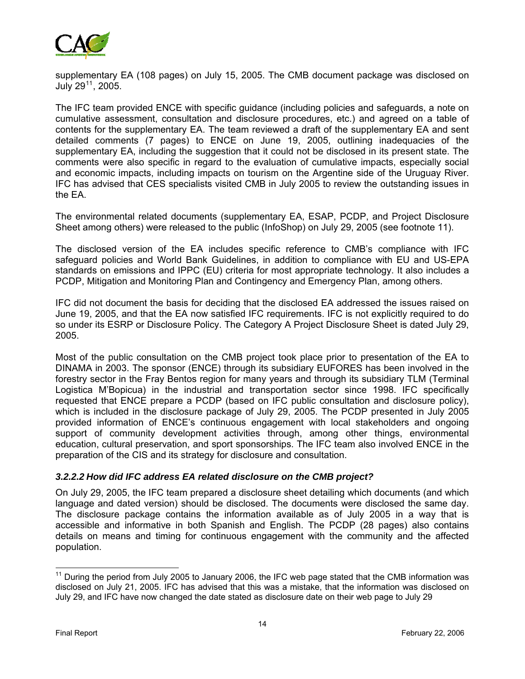

supplementary EA (108 pages) on July 15, 2005. The CMB document package was disclosed on July  $29^{11}$  $29^{11}$  $29^{11}$ ,  $2005$ .

The IFC team provided ENCE with specific guidance (including policies and safeguards, a note on cumulative assessment, consultation and disclosure procedures, etc.) and agreed on a table of contents for the supplementary EA. The team reviewed a draft of the supplementary EA and sent detailed comments (7 pages) to ENCE on June 19, 2005, outlining inadequacies of the supplementary EA, including the suggestion that it could not be disclosed in its present state. The comments were also specific in regard to the evaluation of cumulative impacts, especially social and economic impacts, including impacts on tourism on the Argentine side of the Uruguay River. IFC has advised that CES specialists visited CMB in July 2005 to review the outstanding issues in the EA.

The environmental related documents (supplementary EA, ESAP, PCDP, and Project Disclosure Sheet among others) were released to the public (InfoShop) on July 29, 2005 (see footnote 11).

The disclosed version of the EA includes specific reference to CMB's compliance with IFC safeguard policies and World Bank Guidelines, in addition to compliance with EU and US-EPA standards on emissions and IPPC (EU) criteria for most appropriate technology. It also includes a PCDP, Mitigation and Monitoring Plan and Contingency and Emergency Plan, among others.

IFC did not document the basis for deciding that the disclosed EA addressed the issues raised on June 19, 2005, and that the EA now satisfied IFC requirements. IFC is not explicitly required to do so under its ESRP or Disclosure Policy. The Category A Project Disclosure Sheet is dated July 29, 2005.

Most of the public consultation on the CMB project took place prior to presentation of the EA to DINAMA in 2003. The sponsor (ENCE) through its subsidiary EUFORES has been involved in the forestry sector in the Fray Bentos region for many years and through its subsidiary TLM (Terminal Logistica M'Bopicua) in the industrial and transportation sector since 1998. IFC specifically requested that ENCE prepare a PCDP (based on IFC public consultation and disclosure policy), which is included in the disclosure package of July 29, 2005. The PCDP presented in July 2005 provided information of ENCE's continuous engagement with local stakeholders and ongoing support of community development activities through, among other things, environmental education, cultural preservation, and sport sponsorships. The IFC team also involved ENCE in the preparation of the CIS and its strategy for disclosure and consultation.

#### *3.2.2.2 How did IFC address EA related disclosure on the CMB project?*

On July 29, 2005, the IFC team prepared a disclosure sheet detailing which documents (and which language and dated version) should be disclosed. The documents were disclosed the same day. The disclosure package contains the information available as of July 2005 in a way that is accessible and informative in both Spanish and English. The PCDP (28 pages) also contains details on means and timing for continuous engagement with the community and the affected population.

<span id="page-17-0"></span> $11$  During the period from July 2005 to January 2006, the IFC web page stated that the CMB information was disclosed on July 21, 2005. IFC has advised that this was a mistake, that the information was disclosed on July 29, and IFC have now changed the date stated as disclosure date on their web page to July 29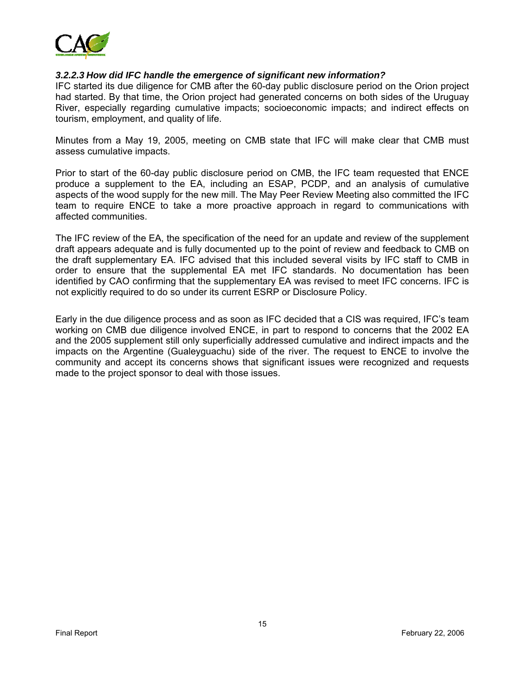

#### *3.2.2.3 How did IFC handle the emergence of significant new information?*

IFC started its due diligence for CMB after the 60-day public disclosure period on the Orion project had started. By that time, the Orion project had generated concerns on both sides of the Uruguay River, especially regarding cumulative impacts; socioeconomic impacts; and indirect effects on tourism, employment, and quality of life.

Minutes from a May 19, 2005, meeting on CMB state that IFC will make clear that CMB must assess cumulative impacts.

Prior to start of the 60-day public disclosure period on CMB, the IFC team requested that ENCE produce a supplement to the EA, including an ESAP, PCDP, and an analysis of cumulative aspects of the wood supply for the new mill. The May Peer Review Meeting also committed the IFC team to require ENCE to take a more proactive approach in regard to communications with affected communities.

The IFC review of the EA, the specification of the need for an update and review of the supplement draft appears adequate and is fully documented up to the point of review and feedback to CMB on the draft supplementary EA. IFC advised that this included several visits by IFC staff to CMB in order to ensure that the supplemental EA met IFC standards. No documentation has been identified by CAO confirming that the supplementary EA was revised to meet IFC concerns. IFC is not explicitly required to do so under its current ESRP or Disclosure Policy.

Early in the due diligence process and as soon as IFC decided that a CIS was required, IFC's team working on CMB due diligence involved ENCE, in part to respond to concerns that the 2002 EA and the 2005 supplement still only superficially addressed cumulative and indirect impacts and the impacts on the Argentine (Gualeyguachu) side of the river. The request to ENCE to involve the community and accept its concerns shows that significant issues were recognized and requests made to the project sponsor to deal with those issues.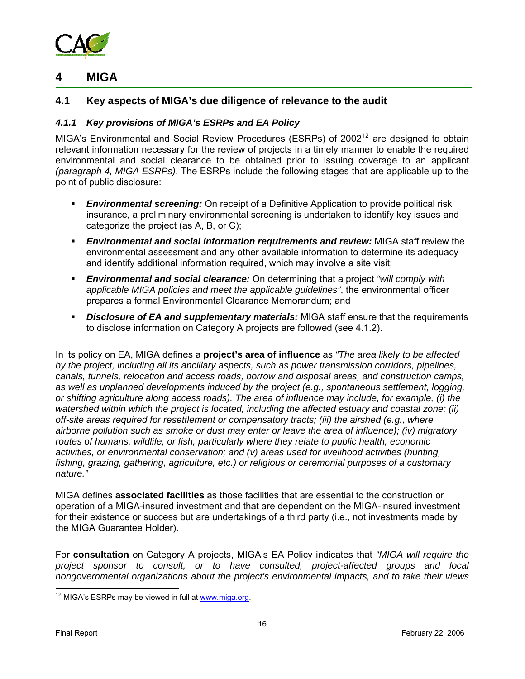

## **4 MIGA**

## **4.1 Key aspects of MIGA's due diligence of relevance to the audit**

#### *4.1.1 Key provisions of MIGA's ESRPs and EA Policy*

MIGA's Environmental and Social Review Procedures (ESRPs) of 2002<sup>[12](#page-19-0)</sup> are designed to obtain relevant information necessary for the review of projects in a timely manner to enable the required environmental and social clearance to be obtained prior to issuing coverage to an applicant *(paragraph 4, MIGA ESRPs)*. The ESRPs include the following stages that are applicable up to the point of public disclosure:

- **Environmental screening:** On receipt of a Definitive Application to provide political risk insurance, a preliminary environmental screening is undertaken to identify key issues and categorize the project (as A, B, or C);
- *Environmental and social information requirements and review:* MIGA staff review the environmental assessment and any other available information to determine its adequacy and identify additional information required, which may involve a site visit;
- *Environmental and social clearance:* On determining that a project *"will comply with applicable MIGA policies and meet the applicable guidelines"*, the environmental officer prepares a formal Environmental Clearance Memorandum; and
- *Disclosure of EA and supplementary materials:* MIGA staff ensure that the requirements to disclose information on Category A projects are followed (see 4.1.2).

In its policy on EA, MIGA defines a **project's area of influence** as *"The area likely to be affected by the project, including all its ancillary aspects, such as power transmission corridors, pipelines, canals, tunnels, relocation and access roads, borrow and disposal areas, and construction camps, as well as unplanned developments induced by the project (e.g., spontaneous settlement, logging, or shifting agriculture along access roads). The area of influence may include, for example, (i) the watershed within which the project is located, including the affected estuary and coastal zone; (ii) off-site areas required for resettlement or compensatory tracts; (iii) the airshed (e.g., where airborne pollution such as smoke or dust may enter or leave the area of influence); (iv) migratory routes of humans, wildlife, or fish, particularly where they relate to public health, economic activities, or environmental conservation; and (v) areas used for livelihood activities (hunting, fishing, grazing, gathering, agriculture, etc.) or religious or ceremonial purposes of a customary nature."*

MIGA defines **associated facilities** as those facilities that are essential to the construction or operation of a MIGA-insured investment and that are dependent on the MIGA-insured investment for their existence or success but are undertakings of a third party (i.e., not investments made by the MIGA Guarantee Holder).

For **consultation** on Category A projects, MIGA's EA Policy indicates that *"MIGA will require the project sponsor to consult, or to have consulted, project-affected groups and local nongovernmental organizations about the project's environmental impacts, and to take their views* 

 $\overline{a}$ 

<span id="page-19-0"></span><sup>&</sup>lt;sup>12</sup> MIGA's ESRPs may be viewed in full at [www.miga.org.](http://www.miga.org/)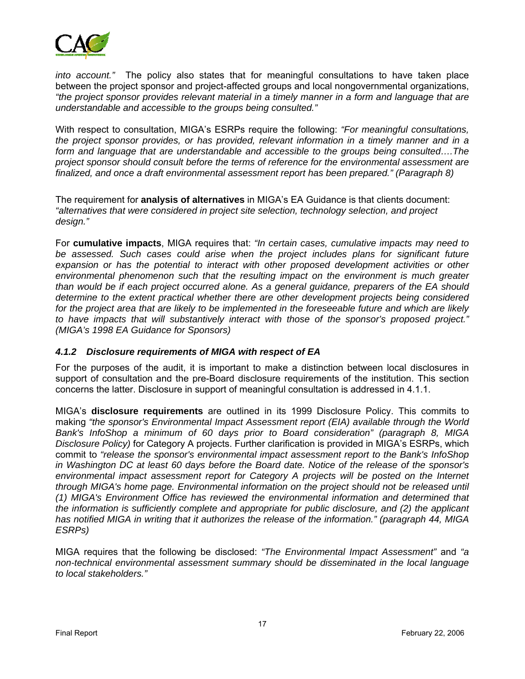

*into account."* The policy also states that for meaningful consultations to have taken place between the project sponsor and project-affected groups and local nongovernmental organizations, *"the project sponsor provides relevant material in a timely manner in a form and language that are understandable and accessible to the groups being consulted."* 

With respect to consultation, MIGA's ESRPs require the following: *"For meaningful consultations, the project sponsor provides, or has provided, relevant information in a timely manner and in a*  form and language that are understandable and accessible to the groups being consulted....The *project sponsor should consult before the terms of reference for the environmental assessment are finalized, and once a draft environmental assessment report has been prepared." (Paragraph 8)*

The requirement for **analysis of alternatives** in MIGA's EA Guidance is that clients document: *"alternatives that were considered in project site selection, technology selection, and project design."* 

For **cumulative impacts**, MIGA requires that: *"In certain cases, cumulative impacts may need to*  be assessed. Such cases could arise when the project includes plans for significant future *expansion or has the potential to interact with other proposed development activities or other environmental phenomenon such that the resulting impact on the environment is much greater than would be if each project occurred alone. As a general guidance, preparers of the EA should determine to the extent practical whether there are other development projects being considered for the project area that are likely to be implemented in the foreseeable future and which are likely to have impacts that will substantively interact with those of the sponsor's proposed project." (MIGA's 1998 EA Guidance for Sponsors)*

#### *4.1.2 Disclosure requirements of MIGA with respect of EA*

For the purposes of the audit, it is important to make a distinction between local disclosures in support of consultation and the pre-Board disclosure requirements of the institution. This section concerns the latter. Disclosure in support of meaningful consultation is addressed in 4.1.1.

MIGA's **disclosure requirements** are outlined in its 1999 Disclosure Policy. This commits to making *"the sponsor's Environmental Impact Assessment report (EIA) available through the World Bank's InfoShop a minimum of 60 days prior to Board consideration" (paragraph 8, MIGA Disclosure Policy)* for Category A projects. Further clarification is provided in MIGA's ESRPs, which commit to *"release the sponsor's environmental impact assessment report to the Bank's InfoShop in Washington DC at least 60 days before the Board date. Notice of the release of the sponsor's*  environmental impact assessment report for Category A projects will be posted on the Internet *through MIGA's home page. Environmental information on the project should not be released until (1) MIGA's Environment Office has reviewed the environmental information and determined that the information is sufficiently complete and appropriate for public disclosure, and (2) the applicant has notified MIGA in writing that it authorizes the release of the information." (paragraph 44, MIGA ESRPs)*

MIGA requires that the following be disclosed: *"The Environmental Impact Assessment"* and *"a non-technical environmental assessment summary should be disseminated in the local language to local stakeholders."*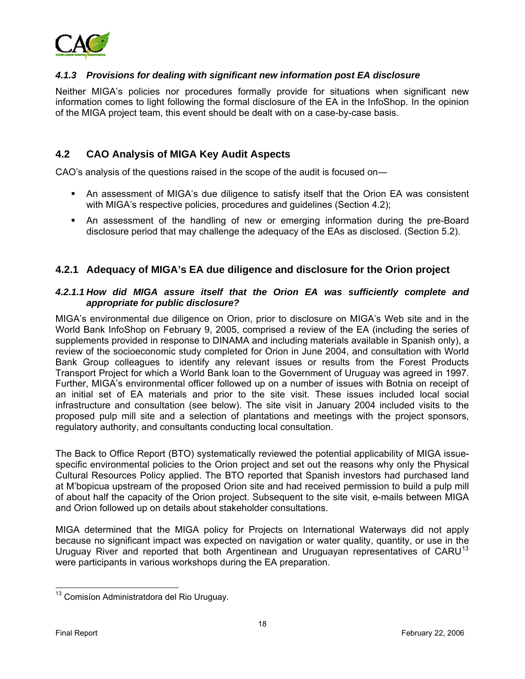

#### *4.1.3 Provisions for dealing with significant new information post EA disclosure*

Neither MIGA's policies nor procedures formally provide for situations when significant new information comes to light following the formal disclosure of the EA in the InfoShop. In the opinion of the MIGA project team, this event should be dealt with on a case-by-case basis.

### **4.2 CAO Analysis of MIGA Key Audit Aspects**

CAO's analysis of the questions raised in the scope of the audit is focused on―

- An assessment of MIGA's due diligence to satisfy itself that the Orion EA was consistent with MIGA's respective policies, procedures and quidelines (Section 4.2);
- An assessment of the handling of new or emerging information during the pre-Board disclosure period that may challenge the adequacy of the EAs as disclosed. (Section 5.2).

#### **4.2.1 Adequacy of MIGA's EA due diligence and disclosure for the Orion project**

#### *4.2.1.1 How did MIGA assure itself that the Orion EA was sufficiently complete and appropriate for public disclosure?*

MIGA's environmental due diligence on Orion, prior to disclosure on MIGA's Web site and in the World Bank InfoShop on February 9, 2005, comprised a review of the EA (including the series of supplements provided in response to DINAMA and including materials available in Spanish only), a review of the socioeconomic study completed for Orion in June 2004, and consultation with World Bank Group colleagues to identify any relevant issues or results from the Forest Products Transport Project for which a World Bank loan to the Government of Uruguay was agreed in 1997. Further, MIGA's environmental officer followed up on a number of issues with Botnia on receipt of an initial set of EA materials and prior to the site visit. These issues included local social infrastructure and consultation (see below). The site visit in January 2004 included visits to the proposed pulp mill site and a selection of plantations and meetings with the project sponsors, regulatory authority, and consultants conducting local consultation.

The Back to Office Report (BTO) systematically reviewed the potential applicability of MIGA issuespecific environmental policies to the Orion project and set out the reasons why only the Physical Cultural Resources Policy applied. The BTO reported that Spanish investors had purchased land at M'bopicua upstream of the proposed Orion site and had received permission to build a pulp mill of about half the capacity of the Orion project. Subsequent to the site visit, e-mails between MIGA and Orion followed up on details about stakeholder consultations.

MIGA determined that the MIGA policy for Projects on International Waterways did not apply because no significant impact was expected on navigation or water quality, quantity, or use in the Uruguay River and reported that both Argentinean and Uruguayan representatives of CARU<sup>[13](#page-21-0)</sup> were participants in various workshops during the EA preparation.

 $\overline{a}$ 

<span id="page-21-0"></span><sup>&</sup>lt;sup>13</sup> Comisíon Administratdora del Rio Uruguay.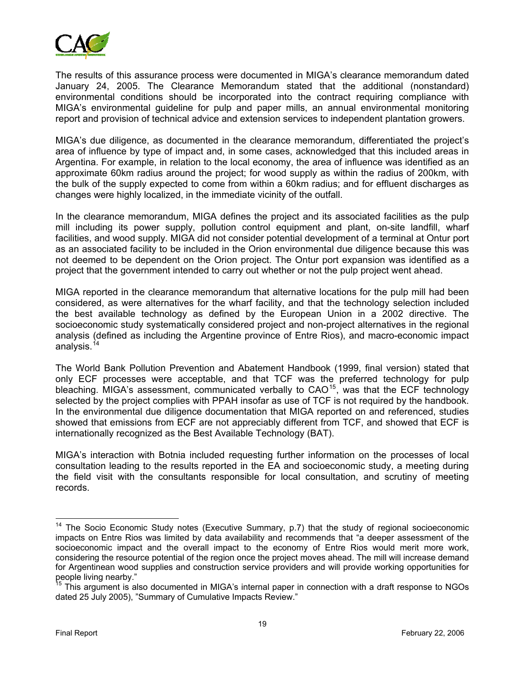

The results of this assurance process were documented in MIGA's clearance memorandum dated January 24, 2005. The Clearance Memorandum stated that the additional (nonstandard) environmental conditions should be incorporated into the contract requiring compliance with MIGA's environmental guideline for pulp and paper mills, an annual environmental monitoring report and provision of technical advice and extension services to independent plantation growers.

MIGA's due diligence, as documented in the clearance memorandum, differentiated the project's area of influence by type of impact and, in some cases, acknowledged that this included areas in Argentina. For example, in relation to the local economy, the area of influence was identified as an approximate 60km radius around the project; for wood supply as within the radius of 200km, with the bulk of the supply expected to come from within a 60km radius; and for effluent discharges as changes were highly localized, in the immediate vicinity of the outfall.

In the clearance memorandum, MIGA defines the project and its associated facilities as the pulp mill including its power supply, pollution control equipment and plant, on-site landfill, wharf facilities, and wood supply. MIGA did not consider potential development of a terminal at Ontur port as an associated facility to be included in the Orion environmental due diligence because this was not deemed to be dependent on the Orion project. The Ontur port expansion was identified as a project that the government intended to carry out whether or not the pulp project went ahead.

MIGA reported in the clearance memorandum that alternative locations for the pulp mill had been considered, as were alternatives for the wharf facility, and that the technology selection included the best available technology as defined by the European Union in a 2002 directive. The socioeconomic study systematically considered project and non-project alternatives in the regional analysis (defined as including the Argentine province of Entre Rios), and macro-economic impact analysis.<sup>[14](#page-22-0)</sup>

The World Bank Pollution Prevention and Abatement Handbook (1999, final version) stated that only ECF processes were acceptable, and that TCF was the preferred technology for pulp bleaching. MIGA's assessment, communicated verbally to CAO<sup>[15](#page-22-1)</sup>, was that the ECF technology selected by the project complies with PPAH insofar as use of TCF is not required by the handbook. In the environmental due diligence documentation that MIGA reported on and referenced, studies showed that emissions from ECF are not appreciably different from TCF, and showed that ECF is internationally recognized as the Best Available Technology (BAT).

MIGA's interaction with Botnia included requesting further information on the processes of local consultation leading to the results reported in the EA and socioeconomic study, a meeting during the field visit with the consultants responsible for local consultation, and scrutiny of meeting records.

<span id="page-22-0"></span><sup>&</sup>lt;sup>14</sup> The Socio Economic Study notes (Executive Summary, p.7) that the study of regional socioeconomic impacts on Entre Rios was limited by data availability and recommends that "a deeper assessment of the socioeconomic impact and the overall impact to the economy of Entre Rios would merit more work, considering the resource potential of the region once the project moves ahead. The mill will increase demand for Argentinean wood supplies and construction service providers and will provide working opportunities for people living nearby."

<span id="page-22-1"></span><sup>&</sup>lt;sup>15</sup> This argument is also documented in MIGA's internal paper in connection with a draft response to NGOs dated 25 July 2005), "Summary of Cumulative Impacts Review."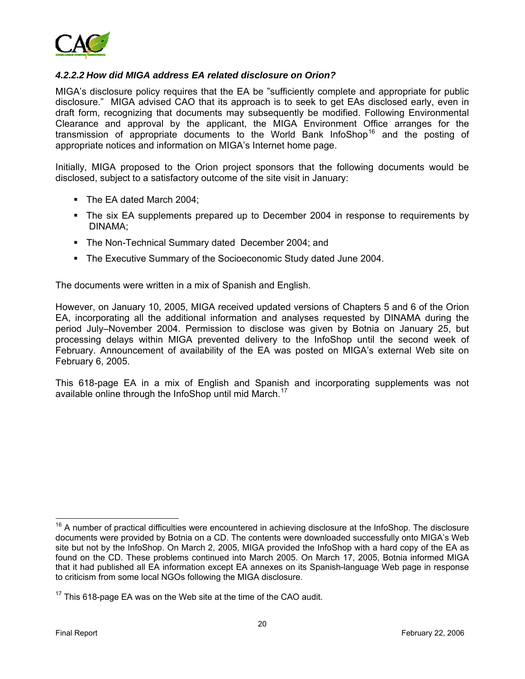

#### *4.2.2.2 How did MIGA address EA related disclosure on Orion?*

MIGA's disclosure policy requires that the EA be "sufficiently complete and appropriate for public disclosure." MIGA advised CAO that its approach is to seek to get EAs disclosed early, even in draft form, recognizing that documents may subsequently be modified. Following Environmental Clearance and approval by the applicant, the MIGA Environment Office arranges for the transmission of appropriate documents to the World Bank InfoShop<sup>[16](#page-23-0)</sup> and the posting of appropriate notices and information on MIGA's Internet home page.

Initially, MIGA proposed to the Orion project sponsors that the following documents would be disclosed, subject to a satisfactory outcome of the site visit in January:

- The EA dated March 2004:
- The six EA supplements prepared up to December 2004 in response to requirements by DINAMA;
- **The Non-Technical Summary dated December 2004; and**
- The Executive Summary of the Socioeconomic Study dated June 2004.

The documents were written in a mix of Spanish and English.

However, on January 10, 2005, MIGA received updated versions of Chapters 5 and 6 of the Orion EA, incorporating all the additional information and analyses requested by DINAMA during the period July–November 2004. Permission to disclose was given by Botnia on January 25, but processing delays within MIGA prevented delivery to the InfoShop until the second week of February. Announcement of availability of the EA was posted on MIGA's external Web site on February 6, 2005.

This 618-page EA in a mix of English and Spanish and incorporating supplements was not available online through the InfoShop until mid March.<sup>[17](#page-23-1)</sup>

<span id="page-23-0"></span><sup>&</sup>lt;sup>16</sup> A number of practical difficulties were encountered in achieving disclosure at the InfoShop. The disclosure documents were provided by Botnia on a CD. The contents were downloaded successfully onto MIGA's Web site but not by the InfoShop. On March 2, 2005, MIGA provided the InfoShop with a hard copy of the EA as found on the CD. These problems continued into March 2005. On March 17, 2005, Botnia informed MIGA that it had published all EA information except EA annexes on its Spanish-language Web page in response to criticism from some local NGOs following the MIGA disclosure.

<span id="page-23-1"></span> $17$  This 618-page EA was on the Web site at the time of the CAO audit.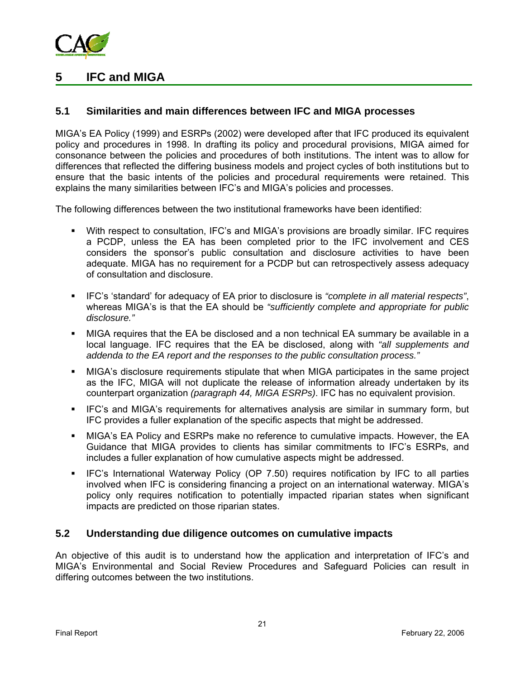

## **5 IFC and MIGA**

### **5.1 Similarities and main differences between IFC and MIGA processes**

MIGA's EA Policy (1999) and ESRPs (2002) were developed after that IFC produced its equivalent policy and procedures in 1998. In drafting its policy and procedural provisions, MIGA aimed for consonance between the policies and procedures of both institutions. The intent was to allow for differences that reflected the differing business models and project cycles of both institutions but to ensure that the basic intents of the policies and procedural requirements were retained. This explains the many similarities between IFC's and MIGA's policies and processes.

The following differences between the two institutional frameworks have been identified:

- With respect to consultation, IFC's and MIGA's provisions are broadly similar. IFC requires a PCDP, unless the EA has been completed prior to the IFC involvement and CES considers the sponsor's public consultation and disclosure activities to have been adequate. MIGA has no requirement for a PCDP but can retrospectively assess adequacy of consultation and disclosure.
- IFC's 'standard' for adequacy of EA prior to disclosure is *"complete in all material respects"*, whereas MIGA's is that the EA should be *"sufficiently complete and appropriate for public disclosure."*
- MIGA requires that the EA be disclosed and a non technical EA summary be available in a local language. IFC requires that the EA be disclosed, along with *"all supplements and addenda to the EA report and the responses to the public consultation process."*
- MIGA's disclosure requirements stipulate that when MIGA participates in the same project as the IFC, MIGA will not duplicate the release of information already undertaken by its counterpart organization *(paragraph 44, MIGA ESRPs)*. IFC has no equivalent provision.
- IFC's and MIGA's requirements for alternatives analysis are similar in summary form, but IFC provides a fuller explanation of the specific aspects that might be addressed.
- MIGA's EA Policy and ESRPs make no reference to cumulative impacts. However, the EA Guidance that MIGA provides to clients has similar commitments to IFC's ESRPs, and includes a fuller explanation of how cumulative aspects might be addressed.
- IFC's International Waterway Policy (OP 7.50) requires notification by IFC to all parties involved when IFC is considering financing a project on an international waterway. MIGA's policy only requires notification to potentially impacted riparian states when significant impacts are predicted on those riparian states.

#### **5.2 Understanding due diligence outcomes on cumulative impacts**

An objective of this audit is to understand how the application and interpretation of IFC's and MIGA's Environmental and Social Review Procedures and Safeguard Policies can result in differing outcomes between the two institutions.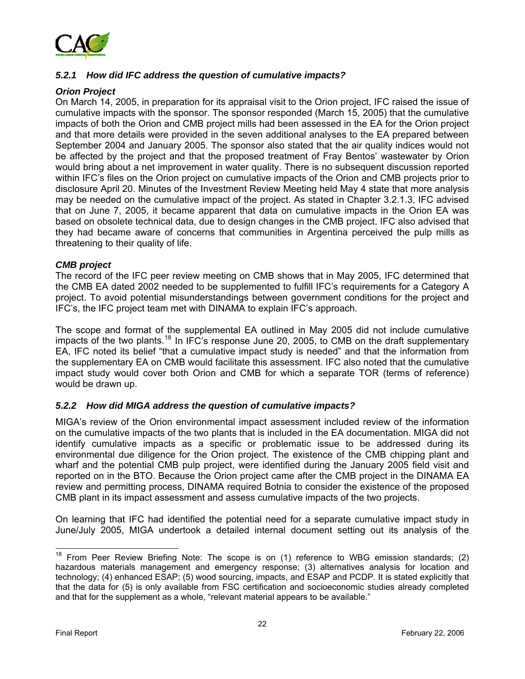

#### *5.2.1 How did IFC address the question of cumulative impacts?*

#### *Orion Project*

On March 14, 2005, in preparation for its appraisal visit to the Orion project, IFC raised the issue of cumulative impacts with the sponsor. The sponsor responded (March 15, 2005) that the cumulative impacts of both the Orion and CMB project mills had been assessed in the EA for the Orion project and that more details were provided in the seven additional analyses to the EA prepared between September 2004 and January 2005. The sponsor also stated that the air quality indices would not be affected by the project and that the proposed treatment of Fray Bentos' wastewater by Orion would bring about a net improvement in water quality. There is no subsequent discussion reported within IFC's files on the Orion project on cumulative impacts of the Orion and CMB projects prior to disclosure April 20. Minutes of the Investment Review Meeting held May 4 state that more analysis may be needed on the cumulative impact of the project. As stated in Chapter 3.2.1.3, IFC advised that on June 7, 2005, it became apparent that data on cumulative impacts in the Orion EA was based on obsolete technical data, due to design changes in the CMB project. IFC also advised that they had became aware of concerns that communities in Argentina perceived the pulp mills as threatening to their quality of life.

#### *CMB project*

The record of the IFC peer review meeting on CMB shows that in May 2005, IFC determined that the CMB EA dated 2002 needed to be supplemented to fulfill IFC's requirements for a Category A project. To avoid potential misunderstandings between government conditions for the project and IFC's, the IFC project team met with DINAMA to explain IFC's approach.

The scope and format of the supplemental EA outlined in May 2005 did not include cumulative impacts of the two plants.<sup>[18](#page-25-0)</sup> In IFC's response June 20, 2005, to CMB on the draft supplementary EA, IFC noted its belief "that a cumulative impact study is needed" and that the information from the supplementary EA on CMB would facilitate this assessment. IFC also noted that the cumulative impact study would cover both Orion and CMB for which a separate TOR (terms of reference) would be drawn up.

#### *5.2.2 How did MIGA address the question of cumulative impacts?*

MIGA's review of the Orion environmental impact assessment included review of the information on the cumulative impacts of the two plants that is included in the EA documentation. MIGA did not identify cumulative impacts as a specific or problematic issue to be addressed during its environmental due diligence for the Orion project. The existence of the CMB chipping plant and wharf and the potential CMB pulp project, were identified during the January 2005 field visit and reported on in the BTO. Because the Orion project came after the CMB project in the DINAMA EA review and permitting process, DINAMA required Botnia to consider the existence of the proposed CMB plant in its impact assessment and assess cumulative impacts of the two projects.

On learning that IFC had identified the potential need for a separate cumulative impact study in June/July 2005, MIGA undertook a detailed internal document setting out its analysis of the

<span id="page-25-0"></span> $18$  From Peer Review Briefing Note: The scope is on (1) reference to WBG emission standards; (2) hazardous materials management and emergency response; (3) alternatives analysis for location and technology; (4) enhanced ESAP; (5) wood sourcing, impacts, and ESAP and PCDP. It is stated explicitly that that the data for (5) is only available from FSC certification and socioeconomic studies already completed and that for the supplement as a whole, "relevant material appears to be available."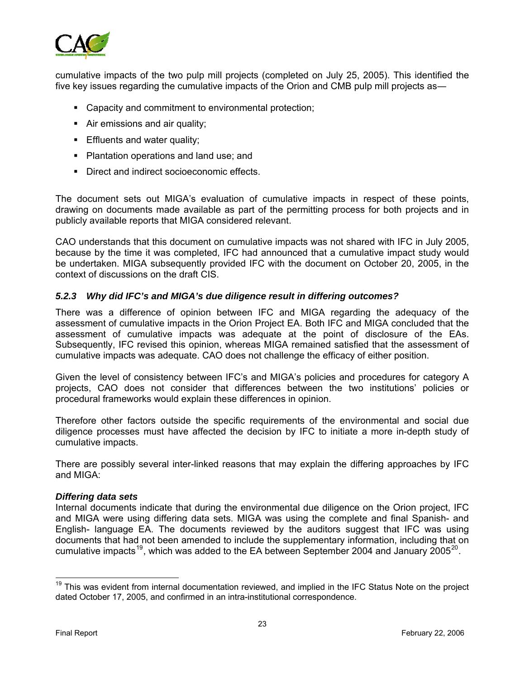

cumulative impacts of the two pulp mill projects (completed on July 25, 2005). This identified the five key issues regarding the cumulative impacts of the Orion and CMB pulp mill projects as―

- Capacity and commitment to environmental protection;
- Air emissions and air quality;
- **Effluents and water quality;**
- Plantation operations and land use; and
- Direct and indirect socioeconomic effects.

The document sets out MIGA's evaluation of cumulative impacts in respect of these points, drawing on documents made available as part of the permitting process for both projects and in publicly available reports that MIGA considered relevant.

CAO understands that this document on cumulative impacts was not shared with IFC in July 2005, because by the time it was completed, IFC had announced that a cumulative impact study would be undertaken. MIGA subsequently provided IFC with the document on October 20, 2005, in the context of discussions on the draft CIS.

#### *5.2.3 Why did IFC's and MIGA's due diligence result in differing outcomes?*

There was a difference of opinion between IFC and MIGA regarding the adequacy of the assessment of cumulative impacts in the Orion Project EA. Both IFC and MIGA concluded that the assessment of cumulative impacts was adequate at the point of disclosure of the EAs. Subsequently, IFC revised this opinion, whereas MIGA remained satisfied that the assessment of cumulative impacts was adequate. CAO does not challenge the efficacy of either position.

Given the level of consistency between IFC's and MIGA's policies and procedures for category A projects, CAO does not consider that differences between the two institutions' policies or procedural frameworks would explain these differences in opinion.

Therefore other factors outside the specific requirements of the environmental and social due diligence processes must have affected the decision by IFC to initiate a more in-depth study of cumulative impacts.

There are possibly several inter-linked reasons that may explain the differing approaches by IFC and MIGA:

#### *Differing data sets*

Internal documents indicate that during the environmental due diligence on the Orion project, IFC and MIGA were using differing data sets. MIGA was using the complete and final Spanish- and English- language EA. The documents reviewed by the auditors suggest that IFC was using documents that had not been amended to include the supplementary information, including that on cumulative impacts<sup>[19](#page-26-0)</sup>, which was added to the EA between September [20](#page-26-1)04 and January  $2005^{20}$ .

<span id="page-26-1"></span><span id="page-26-0"></span><sup>&</sup>lt;sup>19</sup> This was evident from internal documentation reviewed, and implied in the IFC Status Note on the project dated October 17, 2005, and confirmed in an intra-institutional correspondence.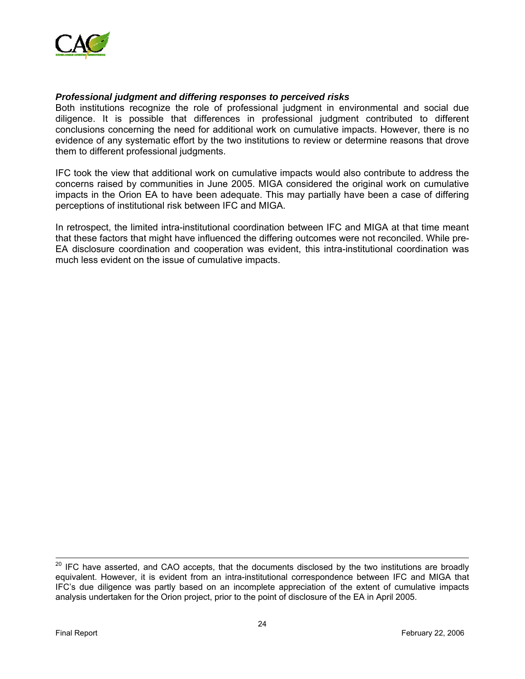

#### *Professional judgment and differing responses to perceived risks*

Both institutions recognize the role of professional judgment in environmental and social due diligence. It is possible that differences in professional judgment contributed to different conclusions concerning the need for additional work on cumulative impacts. However, there is no evidence of any systematic effort by the two institutions to review or determine reasons that drove them to different professional judgments.

IFC took the view that additional work on cumulative impacts would also contribute to address the concerns raised by communities in June 2005. MIGA considered the original work on cumulative impacts in the Orion EA to have been adequate. This may partially have been a case of differing perceptions of institutional risk between IFC and MIGA.

In retrospect, the limited intra-institutional coordination between IFC and MIGA at that time meant that these factors that might have influenced the differing outcomes were not reconciled. While pre-EA disclosure coordination and cooperation was evident, this intra-institutional coordination was much less evident on the issue of cumulative impacts.

-

 $20$  IFC have asserted, and CAO accepts, that the documents disclosed by the two institutions are broadly equivalent. However, it is evident from an intra-institutional correspondence between IFC and MIGA that IFC's due diligence was partly based on an incomplete appreciation of the extent of cumulative impacts analysis undertaken for the Orion project, prior to the point of disclosure of the EA in April 2005.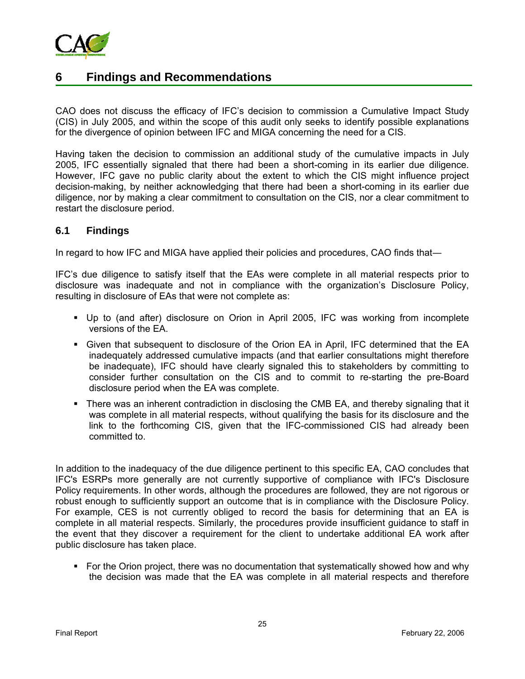

## **6 Findings and Recommendations**

CAO does not discuss the efficacy of IFC's decision to commission a Cumulative Impact Study (CIS) in July 2005, and within the scope of this audit only seeks to identify possible explanations for the divergence of opinion between IFC and MIGA concerning the need for a CIS.

Having taken the decision to commission an additional study of the cumulative impacts in July 2005, IFC essentially signaled that there had been a short-coming in its earlier due diligence. However, IFC gave no public clarity about the extent to which the CIS might influence project decision-making, by neither acknowledging that there had been a short-coming in its earlier due diligence, nor by making a clear commitment to consultation on the CIS, nor a clear commitment to restart the disclosure period.

#### **6.1 Findings**

In regard to how IFC and MIGA have applied their policies and procedures, CAO finds that―

IFC's due diligence to satisfy itself that the EAs were complete in all material respects prior to disclosure was inadequate and not in compliance with the organization's Disclosure Policy, resulting in disclosure of EAs that were not complete as:

- Up to (and after) disclosure on Orion in April 2005, IFC was working from incomplete versions of the EA.
- Given that subsequent to disclosure of the Orion EA in April, IFC determined that the EA inadequately addressed cumulative impacts (and that earlier consultations might therefore be inadequate), IFC should have clearly signaled this to stakeholders by committing to consider further consultation on the CIS and to commit to re-starting the pre-Board disclosure period when the EA was complete.
- There was an inherent contradiction in disclosing the CMB EA, and thereby signaling that it was complete in all material respects, without qualifying the basis for its disclosure and the link to the forthcoming CIS, given that the IFC-commissioned CIS had already been committed to.

In addition to the inadequacy of the due diligence pertinent to this specific EA, CAO concludes that IFC's ESRPs more generally are not currently supportive of compliance with IFC's Disclosure Policy requirements. In other words, although the procedures are followed, they are not rigorous or robust enough to sufficiently support an outcome that is in compliance with the Disclosure Policy. For example, CES is not currently obliged to record the basis for determining that an EA is complete in all material respects. Similarly, the procedures provide insufficient guidance to staff in the event that they discover a requirement for the client to undertake additional EA work after public disclosure has taken place.

For the Orion project, there was no documentation that systematically showed how and why the decision was made that the EA was complete in all material respects and therefore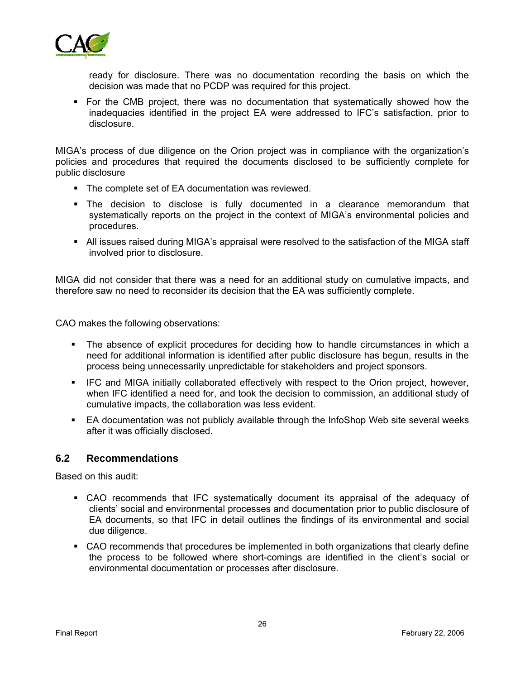

ready for disclosure. There was no documentation recording the basis on which the decision was made that no PCDP was required for this project.

 For the CMB project, there was no documentation that systematically showed how the inadequacies identified in the project EA were addressed to IFC's satisfaction, prior to disclosure.

MIGA's process of due diligence on the Orion project was in compliance with the organization's policies and procedures that required the documents disclosed to be sufficiently complete for public disclosure

- The complete set of EA documentation was reviewed.
- The decision to disclose is fully documented in a clearance memorandum that systematically reports on the project in the context of MIGA's environmental policies and procedures.
- All issues raised during MIGA's appraisal were resolved to the satisfaction of the MIGA staff involved prior to disclosure.

MIGA did not consider that there was a need for an additional study on cumulative impacts, and therefore saw no need to reconsider its decision that the EA was sufficiently complete.

CAO makes the following observations:

- The absence of explicit procedures for deciding how to handle circumstances in which a need for additional information is identified after public disclosure has begun, results in the process being unnecessarily unpredictable for stakeholders and project sponsors.
- IFC and MIGA initially collaborated effectively with respect to the Orion project, however, when IFC identified a need for, and took the decision to commission, an additional study of cumulative impacts, the collaboration was less evident.
- EA documentation was not publicly available through the InfoShop Web site several weeks after it was officially disclosed.

#### **6.2 Recommendations**

Based on this audit:

- CAO recommends that IFC systematically document its appraisal of the adequacy of clients' social and environmental processes and documentation prior to public disclosure of EA documents, so that IFC in detail outlines the findings of its environmental and social due diligence.
- CAO recommends that procedures be implemented in both organizations that clearly define the process to be followed where short-comings are identified in the client's social or environmental documentation or processes after disclosure.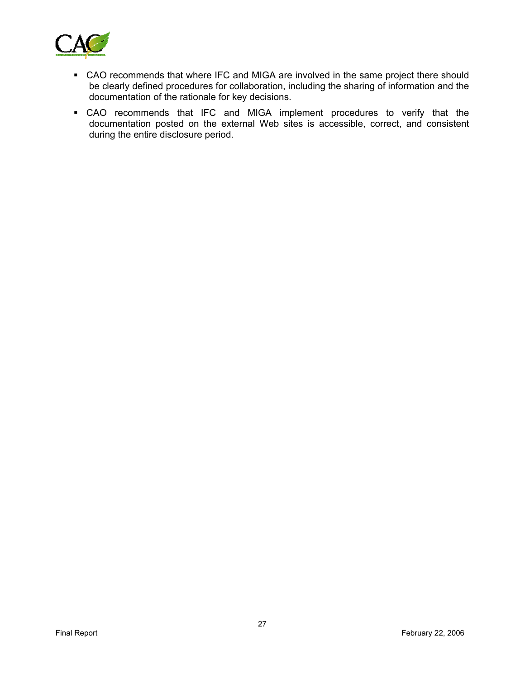

- CAO recommends that where IFC and MIGA are involved in the same project there should be clearly defined procedures for collaboration, including the sharing of information and the documentation of the rationale for key decisions.
- CAO recommends that IFC and MIGA implement procedures to verify that the documentation posted on the external Web sites is accessible, correct, and consistent during the entire disclosure period.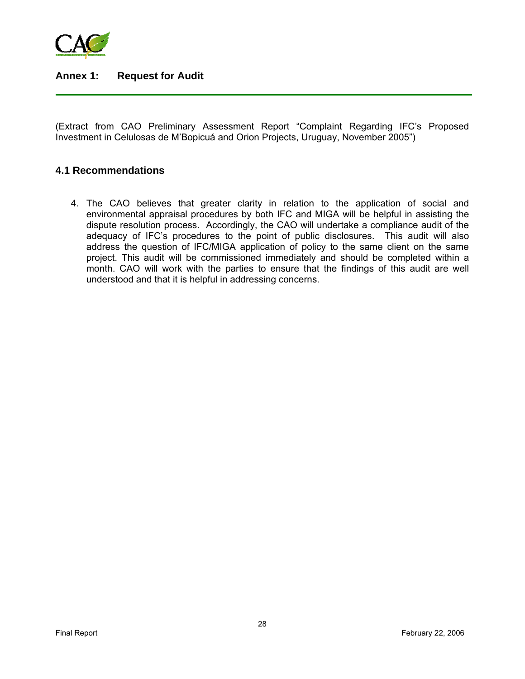

## **Annex 1: Request for Audit**

(Extract from CAO Preliminary Assessment Report "Complaint Regarding IFC's Proposed Investment in Celulosas de M'Bopicuá and Orion Projects, Uruguay, November 2005")

#### **4.1 Recommendations**

4. The CAO believes that greater clarity in relation to the application of social and environmental appraisal procedures by both IFC and MIGA will be helpful in assisting the dispute resolution process. Accordingly, the CAO will undertake a compliance audit of the adequacy of IFC's procedures to the point of public disclosures. This audit will also address the question of IFC/MIGA application of policy to the same client on the same project. This audit will be commissioned immediately and should be completed within a month. CAO will work with the parties to ensure that the findings of this audit are well understood and that it is helpful in addressing concerns.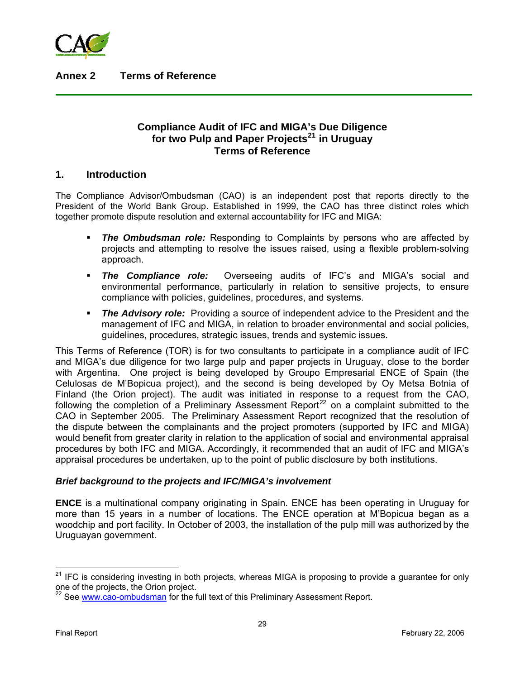

**Annex 2 Terms of Reference** 

## **Compliance Audit of IFC and MIGA's Due Diligence for two Pulp and Paper Projects[21](#page-32-0) in Uruguay Terms of Reference**

#### **1. Introduction**

The Compliance Advisor/Ombudsman (CAO) is an independent post that reports directly to the President of the World Bank Group. Established in 1999, the CAO has three distinct roles which together promote dispute resolution and external accountability for IFC and MIGA:

- *The Ombudsman role:* Responding to Complaints by persons who are affected by projects and attempting to resolve the issues raised, using a flexible problem-solving approach.
- *The Compliance role:* Overseeing audits of IFC's and MIGA's social and environmental performance, particularly in relation to sensitive projects, to ensure compliance with policies, guidelines, procedures, and systems.
- **The Advisory role:** Providing a source of independent advice to the President and the management of IFC and MIGA, in relation to broader environmental and social policies, guidelines, procedures, strategic issues, trends and systemic issues.

This Terms of Reference (TOR) is for two consultants to participate in a compliance audit of IFC and MIGA's due diligence for two large pulp and paper projects in Uruguay, close to the border with Argentina. One project is being developed by Groupo Empresarial ENCE of Spain (the Celulosas de M'Bopicua project), and the second is being developed by Oy Metsa Botnia of Finland (the Orion project). The audit was initiated in response to a request from the CAO, following the completion of a Preliminary Assessment Report<sup>[22](#page-32-1)</sup> on a complaint submitted to the CAO in September 2005. The Preliminary Assessment Report recognized that the resolution of the dispute between the complainants and the project promoters (supported by IFC and MIGA) would benefit from greater clarity in relation to the application of social and environmental appraisal procedures by both IFC and MIGA. Accordingly, it recommended that an audit of IFC and MIGA's appraisal procedures be undertaken, up to the point of public disclosure by both institutions.

#### *Brief background to the projects and IFC/MIGA's involvement*

**ENCE** is a multinational company originating in Spain. ENCE has been operating in Uruguay for more than 15 years in a number of locations. The ENCE operation at M'Bopicua began as a woodchip and port facility. In October of 2003, the installation of the pulp mill was authorized by the Uruguayan government.

<span id="page-32-0"></span> $21$  IFC is considering investing in both projects, whereas MIGA is proposing to provide a guarantee for only one of the projects, the Orion project.

<span id="page-32-1"></span><sup>&</sup>lt;sup>22</sup> See [www.cao-ombudsman](http://www.cao-ombudsman/) for the full text of this Preliminary Assessment Report.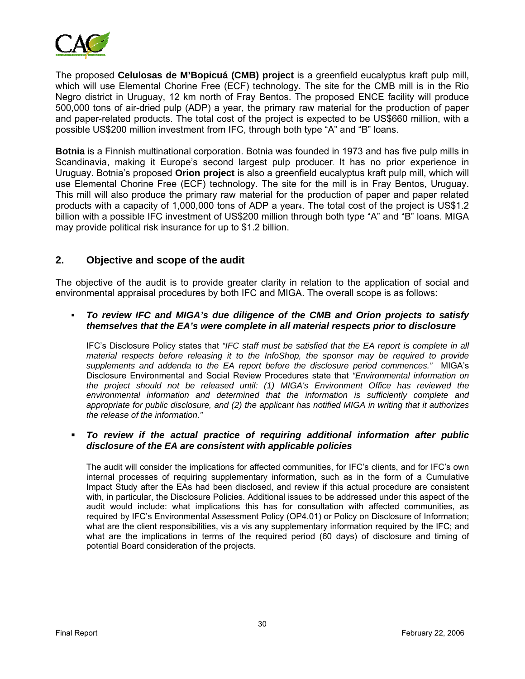

The proposed **Celulosas de M'Bopicuá (CMB) project** is a greenfield eucalyptus kraft pulp mill, which will use Elemental Chorine Free (ECF) technology. The site for the CMB mill is in the Rio Negro district in Uruguay, 12 km north of Fray Bentos. The proposed ENCE facility will produce 500,000 tons of air-dried pulp (ADP) a year, the primary raw material for the production of paper and paper-related products. The total cost of the project is expected to be US\$660 million, with a possible US\$200 million investment from IFC, through both type "A" and "B" loans.

**Botnia** is a Finnish multinational corporation. Botnia was founded in 1973 and has five pulp mills in Scandinavia, making it Europe's second largest pulp producer. It has no prior experience in Uruguay. Botnia's proposed **Orion project** is also a greenfield eucalyptus kraft pulp mill, which will use Elemental Chorine Free (ECF) technology. The site for the mill is in Fray Bentos, Uruguay. This mill will also produce the primary raw material for the production of paper and paper related products with a capacity of 1,000,000 tons of ADP a year4. The total cost of the project is US\$1.2 billion with a possible IFC investment of US\$200 million through both type "A" and "B" loans. MIGA may provide political risk insurance for up to \$1.2 billion.

## **2. Objective and scope of the audit**

The objective of the audit is to provide greater clarity in relation to the application of social and environmental appraisal procedures by both IFC and MIGA. The overall scope is as follows:

 *To review IFC and MIGA's due diligence of the CMB and Orion projects to satisfy themselves that the EA's were complete in all material respects prior to disclosure*

IFC's Disclosure Policy states that *"IFC staff must be satisfied that the EA report is complete in all material respects before releasing it to the InfoShop, the sponsor may be required to provide supplements and addenda to the EA report before the disclosure period commences."* MIGA's Disclosure Environmental and Social Review Procedures state that *"Environmental information on the project should not be released until: (1) MIGA's Environment Office has reviewed the environmental information and determined that the information is sufficiently complete and appropriate for public disclosure, and (2) the applicant has notified MIGA in writing that it authorizes the release of the information."* 

#### *To review if the actual practice of requiring additional information after public disclosure of the EA are consistent with applicable policies*

The audit will consider the implications for affected communities, for IFC's clients, and for IFC's own internal processes of requiring supplementary information, such as in the form of a Cumulative Impact Study after the EAs had been disclosed, and review if this actual procedure are consistent with, in particular, the Disclosure Policies. Additional issues to be addressed under this aspect of the audit would include: what implications this has for consultation with affected communities, as required by IFC's Environmental Assessment Policy (OP4.01) or Policy on Disclosure of Information; what are the client responsibilities, vis a vis any supplementary information required by the IFC; and what are the implications in terms of the required period (60 days) of disclosure and timing of potential Board consideration of the projects.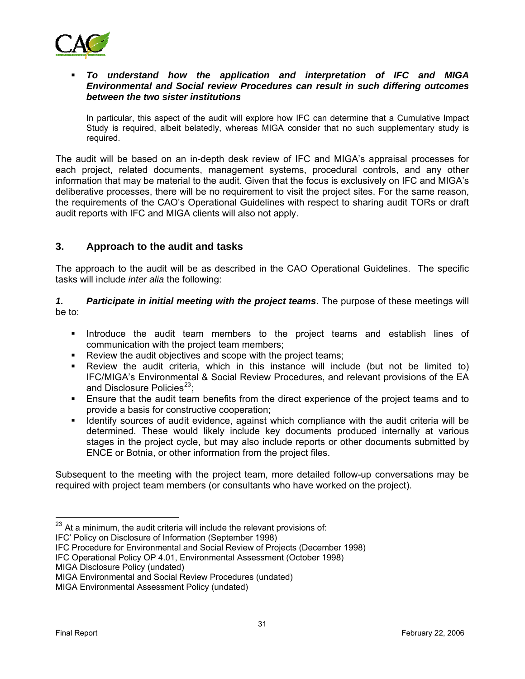

#### *To understand how the application and interpretation of IFC and MIGA Environmental and Social review Procedures can result in such differing outcomes between the two sister institutions*

In particular, this aspect of the audit will explore how IFC can determine that a Cumulative Impact Study is required, albeit belatedly, whereas MIGA consider that no such supplementary study is required.

The audit will be based on an in-depth desk review of IFC and MIGA's appraisal processes for each project, related documents, management systems, procedural controls, and any other information that may be material to the audit. Given that the focus is exclusively on IFC and MIGA's deliberative processes, there will be no requirement to visit the project sites. For the same reason, the requirements of the CAO's Operational Guidelines with respect to sharing audit TORs or draft audit reports with IFC and MIGA clients will also not apply.

## **3. Approach to the audit and tasks**

The approach to the audit will be as described in the CAO Operational Guidelines. The specific tasks will include *inter alia* the following:

*1. Participate in initial meeting with the project teams*. The purpose of these meetings will be to:

- **Introduce the audit team members to the project teams and establish lines of interaptional** communication with the project team members;
- **Review the audit objectives and scope with the project teams;**
- Review the audit criteria, which in this instance will include (but not be limited to) IFC/MIGA's Environmental & Social Review Procedures, and relevant provisions of the EA and Disclosure Policies $^{23}$  $^{23}$  $^{23}$ :
- Ensure that the audit team benefits from the direct experience of the project teams and to provide a basis for constructive cooperation;
- Identify sources of audit evidence, against which compliance with the audit criteria will be determined. These would likely include key documents produced internally at various stages in the project cycle, but may also include reports or other documents submitted by ENCE or Botnia, or other information from the project files.

Subsequent to the meeting with the project team, more detailed follow-up conversations may be required with project team members (or consultants who have worked on the project).

IFC' Policy on Disclosure of Information (September 1998)

IFC Procedure for Environmental and Social Review of Projects (December 1998)

IFC Operational Policy OP 4.01, Environmental Assessment (October 1998)

<span id="page-34-0"></span> $23$  At a minimum, the audit criteria will include the relevant provisions of:

MIGA Disclosure Policy (undated)

MIGA Environmental and Social Review Procedures (undated)

MIGA Environmental Assessment Policy (undated)